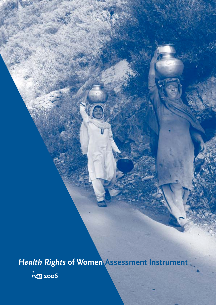*Health Rights* **of Women Assessment Instrument**

**2006**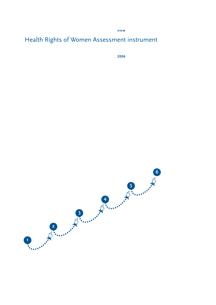**hom**

# Health Rights of Women Assessment instrument

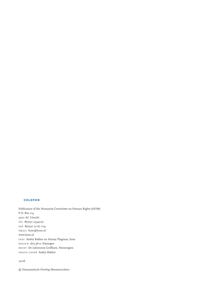### **colofon**

Publication of the Humanist Committee on Human Rights (HOM) P.O. Box 114 3500 AC Utrecht tel #(0)30 2334027 fax #(0)30 23 67 104 email hom@hom.nl www.hom.nl text Saskia Bakker en Hansje Plagman, hom DESIGN dri3 pl+s, Nijmegen print De Lekstroom Griffioen, Nieuwegien photo cover Saskia Bakker

2006

© Humanistisch Overleg Mensenrechten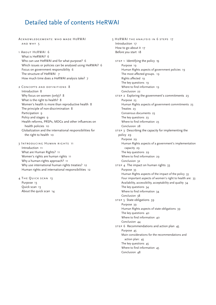# Detailed table of contents HeRWAI

Acknowledgements: who made HeRWAI and why 5

1 About HeRWAI 6What is HeRWAI? 6 Who can use HeRWAI and for what purpose? 6 Which issues or policies can be analysed using HeRWAI? 6 Focus on government responsibility 6 The structure of HeRWAI 7 How much time does a HeRWAI analysis take? 7

2 Concepts and definitions 8

Introduction 8 Why focus on women (only)? 8 What is the right to health? 8 Women's health is more than reproductive health 8 The principle of non-discrimination 8 Participation 9 Policy and stages 9 Health reforms, PRSPs, MDGs and other influences on health policies 10 Globalization and the international responsibilities for the right to health 10

3 Introducing Human rights 11 Introduction 11 What are Human Rights? 11 Women's rights are human rights 11 Why a human-rights approach? 11 Why use international human rights treaties? 12 Human rights and international responsibilities 12

4 The Quick scan 13 Purpose 13 Quick scan 13 About the quick scan 14 5 HeRWAI the analysis in 6 steps 17 Introduction 17 How to go about it 17 Before you start 18 STEP 1 Identifying the policy 19 Purpose 19 Human Rights aspects of government policies 19 The most affected groups. 19 Rights affected 19 The key questions 19 Where to find information 19 Conclusion 22 STEP 2 Exploring the government's commitments 23 Purpose 23 Human Rights aspects of government commitments 23 Treaties 23 Consensus documents 23 The key questions 23 Where to find information 23 Conclusion 28 STEP 3 Describing the capacity for implementing the policy 29 Purpose 29 Human Rights aspects of a government's implementation capacity 29 The key questions 29 Where to find information 29 Conclusion 32 STEP 4 The impact on human rights 33 Purpose 33 Human Rights aspects of the impact of the policy 33 Four important aspects of women's right to health are: 33 Availability, accessibility, acceptability and quality 34 The key questions 34 Where to find information 34 Conclusion 38 step 5 State obligations 39 Purpose 39 Human Rights aspects of state obligations 39 The key questions 40 Where to find information 40 Conclusion 44 step 6 Recommendations and action plan 45 Purpose 45 Main considerations for the recommendations and action plan: 45 The key questions 45 Where to find information 45 Conclusion 48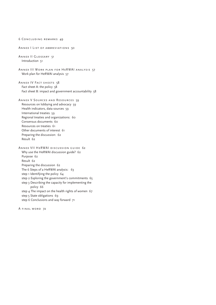6 Concluding remarks 49 Annex I List of abbreviations 50 Annex II Glossary 51 Introduction 51 Annex III Work plan for HeRWAI analysis 57 Work plan for HeRWAI analysis 57 ANNEX IV FACT SHEETS 58 Fact sheet A: the policy 58 Fact sheet B: impact and government accountability 58 Annex V Sources and Resources 59 Resources on lobbying and advocacy 59 Health indicators, data sources 59 International treaties 59 Regional treaties and organizations: 60 Consensus documents 60 Resources on treaties 61 Other documents of interest 61 Preparing the discussion: 62 Result 62 Annex VII HeRWAI discussion guide 62 Why use the HeRWAI discussion guide? 62 Purpose 62 Result 62 Preparing the discussion 62 The 6 Steps of a HeRWAI analysis: 63 step 1 Identifying the policy 64 step 2 Exploring the government's commitments 65 step 3 Describing the capacity for implementing the policy 66 step 4 The impact on the health rights of women 67 step 5 State obligations 69 step 6 Conclusions and way forward 71

A final word 72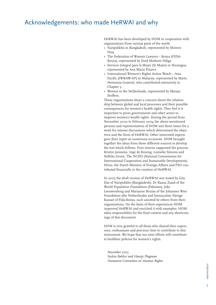# Acknowledgements: who made HeRWAI and why

HeRWAI has been developed by HOM in cooperation with organizations from various parts of the world:

- Naripokkho in Bangladesh, represented by Shireen Huq.
- The Federation of Women Lawyers Kenya (FIDA-Kenya), represented by Enid Muthoni Ndiga.
- Servicio Integral para la Mujer (Si Mujer) in Nicaragua, represented by Ana María Pizarro.
- International Women's Rights Action Watch Asia Pacific (IWRAW-AP) in Malaysia, represented by María Herminia Graterol, who contributed extensively to Chapter 3.
- Wemos in the Netherlands, represented by Marjan Stoffers.

These organizations share a concern about the relationship between global and local processes and their possible consequences for women's health rights. They feel it is important to press governments and other actors to improve women's health rights. During the period from November 2002 to February 2004 the above-mentioned persons and representatives of HOM met three times for a week for intense discussions which determined the objectives and the form of HeRWAI. Other interested experts gave their input on numerous occasions. HOM brought together the ideas from these different sources to develop the text which follows. Four interns supported the process: Kristin Janssens, Inge de Koning, Lonneke Simons and Nelleke Groen. The NCDO (National Commission for International Cooperation and Sustainable Development), Hivos, the Dutch Ministry of Foreign Affairs and PSO contributed financially to the creation of HeRWAI.

In 2005 the draft version of HeRWAI was tested by Gita Das of Naripokkho (Bangladesh), Dr Raana Zaaid of the World Population Foundation (Pakistan), Joke Leeuwenburg and Marianne Bruins of the Johannes Wier Foundation (the Netherlands) and Immaculate Njenge Kassait of Fida-Kenya, each assisted by others from their organizations. On the basis of their experiences HOM improved HeRWAI and enriched it with examples. HOM takes responsibility for the final content and any shortcomings of this document.

HOM is very grateful to all those who shared their experience, enthusiasm and precious time to contribute to this instrument. We hope that our joint efforts will contribute to healthier policies for women's rights.

*November 2005 Saskia Bakker and Hansje Plagman Humanist Committee on Human Rights*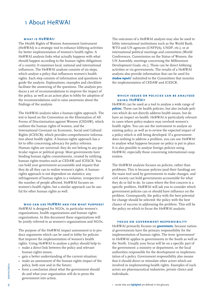# 1 About HeRWAI

### **what is HeRWAI?**

The Health Rights of Women Assessment Instrument (HeRWAI) is a strategic tool to enhance lobbying activities for better implementation of women's health rights. A HeRWAI analysis links what actually happens with what should happen according to the human rights obligations of a country. It examines local, national and international influences. The HeRWAI analysis consists of six steps, which analyse a policy that influences women's health rights. Each step consists of information and questions to guide the analysis. Explanations, examples and checklists facilitate the answering of the questions. The analysis produces a set of recommendations to improve the impact of the policy, as well as an action plan to lobby for adoption of the recommendations and to raise awareness about the findings of the analysis.

The HeRWAI analysis takes a human-rights approach. The text is based on the Convention on the Elimination of All Forms of Discrimination against Women (CEDAW), which outlines the human rights of women, and the International Covenant on Economic, Social and Cultural Rights (ICESCR), which provides comprehensive information about health rights. A human-rights approach has a lot to offer concerning advocacy for policy reforms. Human rights are universal; they do not belong to any particular region or political group. Most governments have binding human rights commitments, created by ratifying human rights treaties such as CEDAW and ICESCR. You can hold your government accountable and request that they do all they can to realize women's rights. A humanrights approach is not dependent on statistics; any infringement of human rights is a violation, irrespective of the number of people affected. HeRWAI focuses on women's health rights, but a similar approach can be useful for other human rights as well.

### **who can use HeRWAI and for what purpose?**

HeRWAI is designed for NGOs, in particular women's organizations, health organizations and human rights organizations. In this document these organizations will be jointly referred to as women's organizations and NGOs.

The purpose of the HeRWAI impact assessment is to produce arguments which can be used to lobby for policies that improve the implementation of women's health rights. Using HeRWAI to analyse a policy should help to:

- make a direct link between the policy and relevant human rights issues;
- gain a better understanding of the current situation;
- make an assessment of the human rights impact of the policy, both now and in the future;
- form a conclusion about what the government should do and what your organization will do to press the government into action.

The outcomes of a HeRWAI analysis may also be used to lobby international institutions such as the World Bank, WTO and UN agencies (UNFP(A), UNDP, etc.), or at international political meetings and committees (World Conferences, Commission on the Status of Women, the UN Assembly, meetings concerning the Millennium Development Goals, etc.). These can be direct lobbying activities or via governments. The results of a HeRWAI analysis also provide information that can be used for shadow reports<sup>1</sup> submitted to the Committees that monitor the implementation of CEDAW and ICESCR.

### **which issues or policies can be analysed using HeRWAI?**

HeRWAI can be used as a tool to analyse a wide range of **policies**. These can be health policies, but also include policies which do not directly address health issues, but do have an impact on health. HeRWAI is particularly relevant in cases where policy-makers may overlook women's health rights. You can use the instrument to analyse an existing policy, as well as to review the expected impact of a policy which is still being developed. If a government does nothing to address a problem, you can use HeRWAI to analyse what happens because no policy is put in place. It is also possible to analyse foreign policies using HeRWAI, especially those concerning international cooperation.

The HeRWAI analysis focuses on policies, rather than problems. This is because policies (and their funding) are the main tool used by governments to make changes, and civil society can hold governments accountable for what they do or fail to do. In cases where the first concern is a specific problem, HeRWAI will ask you to consider which government policies can or should have influence on the problem. Consequently, the policy with the best potential for change should be selected: the policy with the best chance of success in addressing the problem. This will be the policy on which to focus the HeRWAI analysis.

### **focus on government responsibility**

HeRWAI primarily focuses on **governments**, because national governments have the primary responsibility for the implementation of human rights. The term 'government' in HeRWAI applies to governments in the South as well as the North. Usually your focus will be on a specific part of the government: a ministry or department, or the local authorities responsible for the development or implementation of a policy. Government responsibility also means that it should direct or stimulate other actors which are involved in implementing health rights. Examples of such actors are pharmaceutical industries, private clinics and individuals.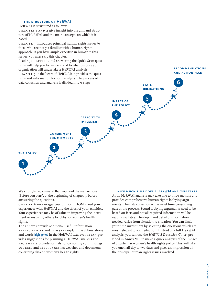### **the structure of HeRWAI**

HeRWAI is structured as follows:

chapters 1 and 2 give insight into the aim and structure of HeRWAI and the main concepts on which it is based.

chapter 3 introduces principal human rights issues to those who are not yet familiar with a human-rights approach. If you have ample expertise in human rights issues, you may skip this chapter.

Reading CHAPTER 4 and answering the Quick Scan questions will help you to decide if and to what purpose your organization will undertake a HeRWAI analysis. chapter 5 is the heart of HeRWAI; it provides the questions and information for your analysis. The process of data collection and analysis is divided into 6 steps:



We strongly recommend that you read the instructions: 'Before you start', at the beginning of chapter 5, before answering the questions.

chapter 6 encourages you to inform HOM about your experiences with HeRWAI and the effect of your activities. Your experiences may be of value in improving the instrument or inspiring others to lobby for women's health rights.

The annexes provide additional useful information. abbreviations and glossary explain the abbreviations and words **highlighted** in the HeRWAI text. WORKPLAN provides suggestions for planning a HeRWAI analysis and FACTSHEETS provide formats for compiling your findings. sources and references list websites and documents containing data on women's health rights.

### **how much time does a HeRWAI analysis take?**

**recommendationsand action plan**

A full HeRWAI analysis may take one to three months and provides comprehensive human rights lobbying arguments. The data collection is the most time-consuming part of the process. Sound lobbying arguments need to be based on facts and not all required information will be readily available. The depth and detail of information needed varies from situation to situation. You can limit your time investment by selecting the questions which are most relevant to your situation. Instead of a full HeRWAI analysis, you can use the *HeRWAI Discussion Guide*, provided in Annex VII, to make a quick analysis of the impact of a particular women's health rights policy. This will take you one half day to two days and gives an impression of the principal human rights issues involved.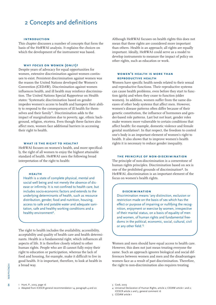# 2 Concepts and definitions

### **introduction**

This chapter discusses a number of concepts that form the basis of the HeRWAI analysis. It explains the choices on which the development of the instrument was based.

### **why focus on women (only)?**

Despite years of advocacy for equal opportunities for women, extensive discrimination against women continues to exist. Persistent discrimination against women was the reason the United Nations developed the Women's Convention (CEDAW). Discrimination against women influences health, and ill health may reinforce discrimination. The United Nations Special Rapporteur on Health states: 'Systematic discrimination based on gender impedes women's access to health and hampers their ability to respond to the consequences of ill health for themselves and their family<sup>1</sup>. Discrimination adds to the impact of marginalization due to poverty, age, ethnic background, religion, etcetera. Even though these factors also affect men, women face additional barriers in accessing their right to health.

### **what is the right to health?**

HeRWAI focuses on women's health, and more specifically, the right of all women to enjoy the highest attainable standard of health. HeRWAI uses the following broad interpretation of the right to health:

### **health**

Health is a state of complete physical, mental and social well being and not merely the absence of disease or infirmity. It is not confined to health care, but includes socio-economic factors and extends to the underlying determinants of health, such as resource distribution, gender, food and nutrition, housing, access to safe and potable water and adequate sanitation, safe and healthy working conditions and a healthy environment<sup>2</sup>.

The right to health includes the availability, accessibility, acceptability and quality of health care and health determinants. Health is a fundamental right, which influences all aspects of life. It is therefore closely related to other human rights. People who are ill cannot fully enjoy their right to education or participation, whereas the lack of food and housing, for example, make it difficult to live in good health. It is important, therefore, to look at health in a broad way.

Although HeRWAI focuses on health rights this does not mean that these rights are considered more important than others. Health is an approach; all rights are equally important. Ideally, HeRWAI could serve as a model to develop instruments to measure the impact of policy on other rights, such as education or work.

### **women's health is more than reproductive health**

Women have specific health needs related to their sexual and reproductive functions. Their reproductive systems can cause health problems, even before they start to function (girls) and when they cease to function (older women). In addition, women suffer from the same diseases of other body systems that affect men. However, women's disease patterns often differ because of their genetic constitution, the influence of hormones and gender-based role patterns. Last but not least, gender roles make women more vulnerable to certain conditions that affect health: for example, domestic violence and female genital mutilation3. In that respect, the freedom to control one's body is an important element of women's right to health. It also shows that to improve women's health rights it is necessary to reduce gender inequality.

### **the principle of non-discrimination**

The principle of non-discrimination is a cornerstone of human rights principles. Discrimination based on sex is one of the prohibited grounds of discrimination4. In HeRWAI, discrimination is an important element of the focus on women's health rights.

### **discrimination**

Discrimination means 'any distinction, exclusion or restriction made on the basis of sex which has the effect or purpose of impairing or nullifying the recognition, enjoyment or exercise by women, irrespective of their marital status, on a basis of equality of men and women, of human rights and fundamental freedoms in the political, economic, social, cultural, civil or any other field.'5

Women and men should have equal access to health care. However, this does not just mean treating everyone the same. Such an approach ignores biological and social differences between women and men and the disadvantages women face as a result of past discrimination. Therefore, the right to non-discrimination also requires treating

2 Adapted from ICESCR general recommendation 14, paragraph 4 and 20

4 Universal Declaration of Human Rights, article 2; CEDAW article 1 and 2; ICESCR article 2 and 3, general comment 16

<sup>3</sup> Cook, 2003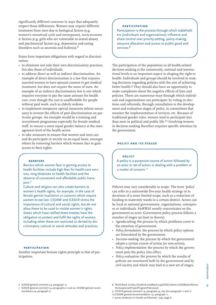significantly different concerns in ways that adequately respect those differences. Women may require different treatment from men due to biological factors (e.g. women's menstrual cycle and menopause), socio-economic factors (e.g. girls who are vulnerable to sexual abuse) and psychosocial factors (e.g. depression and eating disorders such as anorexia and bulimia).<sup>6</sup>

States have important obligations with regard to discrimination:

- to eliminate not only their own discriminatory practices, but also those of individuals.
- to address direct as well as indirect discrimination. An example of direct discrimination is a law that requires married women to have spousal consent to get medical treatment, but does not require the same of men. An example of an indirect discriminatory law is one which requires everyone to pay the same amount for health care, even though the cost is unaffordable for people without paid work, such as elderly widows.
- to implement temporary special measures (where necessary) to reverse the effects of past discrimination on particular groups. An example would be a training and recruitment programme especially for female medical staff, to ensure a more equal gender balance at the management level of the health sector.
- to take measures to ensure that women and men can and do participate in society on an equal basis, amongst others by removing barriers which women face to gain access to their rights.

### **barriers**

Barriers which women face in gaining access to health facilities include high fees for health-care services, long distances to health facilities and the absence of convenient and affordable public transport.7

Culture and religion can also create barriers to women's health rights, for example, in the case of female genital mutilation or customs which require women to eat last. CEDAW and ICESCR stress the importance of cultural and social rights, but do not allow these to be used to violate women's rights. States which have ratified these treaties have the obligation to protect and fulfil the rights of women, including when these are restricted or denied by discriminatory cultural or social attitudes and practices.

**participation** 

Another important human rights principle is that of participation.

### **participation**

Participation is the process through which stakeholders (individuals and organizations) influence and share control over priority-setting, policy-making, resource allocation and access to public good and services.<sup>8</sup>

The participation of the population in all health-related decision-making at the community, national and international levels is an important aspect in shaping the right to health. Individuals and groups should be involved in making decisions regarding policies with the aim of achieving better health.<sup>9</sup> They should also have an opportunity to make complaints about the negative effects of laws and policies. There are numerous ways through which individuals and organizations can participate: by voting in elections and referenda, through consultation in the development and evaluation stages of policy, in committees that monitor the implementation of services, etc. Because of traditional gender roles, women tend to participate less than men in political and public life.<sup>10</sup> Involving women in decision-making therefore requires specific attention by the government.

### **policy and its stages**

### **policy**

A policy is a purposive course of action followed by an actor or set of actors in dealing with a problem or a matter of concern.<sup>11</sup>

Policies may vary considerably in scope. The term 'policy' can refer to a nationwide five-year health strategy or to decisions of a more limited scope, such as a reduction of funding to maternity wards in a certain district. Actors can be local or national governments, organizations, enterprises or individuals. HeRWAI mostly concentrates on the government as actor. Government policy process follows a number of stages (at least in theory):

- *Agenda-setting*; the process by which problems come to the attention of government,
- *Policy formulation*: the process by which policy options are formulated by the government,
- *Decision-making*: the process by which the government adopts a certain course of action (or non-action),
- *Policy implementation*: the process by which the government puts the policy into effect,
- *Policy evaluation*: the process by which the results of policies are monitored both by the government and by civil society and which may lead to a new set of stages.

9

7 ICESCR general comment 14, paragraphs 21 and 22; CEDAW general recommendation 24, paragraph 21.

9 ICESCR general comment 14, paragraph 54, see also paragraph 11 and 17.

11 James Anderson in Howlet and Ramesh, 1995, page 6.

**HOM/HerWAI** HOM/HerWAI

<sup>6</sup> ICESCR general comment 24, paragraph 12

<sup>8</sup> World Bank at http://lnweb18.worldbank.org/ESSD/sdvext.nsf/66ByDocName/ ParticipationatProjectProgramPolicyLevel

<sup>10</sup> CEDAW general recommendation 19, paragraph 11.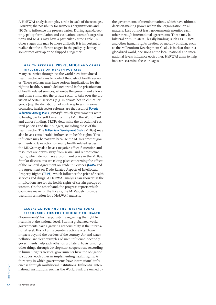A HeRWAI analysis can play a role in each of these stages. However, the possibility for women's organizations and NGOs to influence the process varies. During agenda-setting, policy formulation and evaluation, women's organizations and NGOs may have a particularly strong role. In other stages this may be more difficult. It is important to realize that the different stages in the policy cycle may sometimes overlap or be skipped altogether.

### **health reforms, PRSPs, MDGs and other influences on health policies**

Many countries throughout the world have introduced health sector reforms to control the costs of health services. These reforms may have serious implications for the right to health. A much-debated trend is the privatization of health related services, whereby the government allows and often stimulates the private sector to take over the provision of certain services (e.g. in private health clinics) or goods (e.g. the distribution of contraceptives). In some countries, health sector reforms are the result of **Poverty Reduction Strategy Plans** (PRSP)<sup>12</sup>, which governments write to be eligible for soft loans from the IMF, the World Bank and donor funding. PRSPs determine the direction of sectoral policies and their budgets, including those of the health sector. The **Millennium Development Goals** (MDGs) may also have a considerable influence on health rights. This influence may be positive because the MDGs prompt governments to take action on many health related issues. But the MDGs may also have a negative effect if attention and resources are drawn away from sexual and reproductive rights, which do not have a prominent place in the MDGs. Similar discussions are taking place concerning the effects of the General Agreement on Trade in Services (**GATS**) and the Agreement on Trade-Related Aspects of Intellectual Property Rights (**TRIPS**), which influence the price of health services and drugs. A HeRWAI analysis can show what the implications are for the health rights of certain groups of women. On the other hand, the progress reports which countries make for the PRSPs, the MDGs, etc. provide useful information for a HeRWAI analysis.

### **globalization and the internationalresponsibilities for the right to health**

The term is thrown attional in the mational in the set of  $\frac{1}{2}$ <br>  $\frac{1}{2}$ <br>  $\frac{1}{2}$  Verheul 2001 Governments' first responsibility regarding the right to health is at the national level. But in a globalized world, governments have a growing responsibility at the international level. First of all, a country's actions often have impacts beyond the borders of the country. Air and water pollution are clear examples of such influence. Secondly, governments help each other on a bilateral basis, amongst other things through development cooperation. According to human rights treaties, governments have the obligation to support each other in implementing health rights. A third way in which governments have international influence is through multilateral institutions. Influential international institutions such as the World Bank are owned by the governments of member nations, which have ultimate decision-making power within the organization on all matters. Last but not least, governments monitor each other through international agreements, These may be bilateral or multilateral, legally binding, such as CEDAW and other human rights treaties, or morally binding, such as the Millennium Development Goals. It is clear that in a globalized world, decisions at the local, national and international levels influence each other. HeRWAI aims to help its users examine these linkages.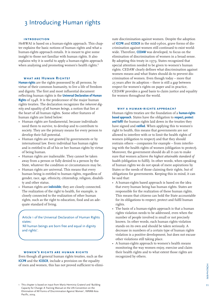# 3 Introducing Human rights

### **introduction**

HeRWAI is based on a human-rights approach. This chapter explains the basic notions of human rights and what a human-rights approach entails. It is meant to give some insight to those not familiar with human rights. It also explains why it is useful to apply a human-rights approach when analysing and promoting women's health rights.<sup>1</sup>

### **what are Human Rights?**

**Human rights** are the rights possessed by all persons, by virtue of their common humanity, to live a life of freedom and dignity. The first and most influential document reflecting human rights is the **Universal Declaration of Human Rights** of 1948. It is the predecessor of the major human rights treaties. The declaration recognizes the *inherent dignity and equality of all human beings*, a notion that lies at the heart of all human rights. Some other features of human rights are listed below:

- Human rights are fundamental, because individuals need them to survive, to develop and to contribute to society. They are the primary means for every person to develop their full potential.
- Human rights are not granted by governments or by international law. Every individual has human rights and is entitled to all of his or her human rights by virtue of being human.
- Human rights are inalienable. They cannot be taken away from a person or fully denied to a person by the State, whatever the condition or circumstances may be.
- Human rights are universal. This means that every human being is entitled to human rights, regardless of gender, race, age, ethnicity, citizenship, religion, disability and other status.
- Human rights are **indivisible**; they are closely connected. The realization of the right to health, for example, is closely connected to the realization of other human rights, such as the right to education, food and an adequate standard of living.

Article 1 of the Universal Declaration of Human Rights states: 'All human beings are born free and equal in dignity

and rights'.

### **women's rights are human rights**

Even though all general human rights treaties, such as the **ICCPR** and the **ICESCR**, include a provision on the equality of men and women, this has not proved sufficient to eliminate discrimination against women. Despite the adoption of **ICCPR** and **ICESCR** in the mid-1960s, grave forms of discrimination against women still continued to exist worldwide. Therefore, **CEDAW** was developed, to focus on the elimination of discrimination of women in a broad sense. By adopting this treaty in 1979, States recognized that special attention needed to be given to women's human rights. CEDAW clearly defines what discrimination against women means and what States should do to prevent discrimination of women. Even though today – more that 25 years after its adoption – there is still a gap between respect for women's rights on paper and in practice, CEDAW provides a good basis to claim justice and equality for women throughout the world.

### **why a human-rights approach?**

Human rights treaties are the foundation of a **human-rights based approach**. States have the obligation to **respect, protect and fulfil** the human rights laid down in the treaties they have signed and **ratified**. When applying this to women's right to health, this means that governments are not allowed to interfere with or to limit the health rights of women (obligation to respect) and that they should restrain others – companies for example – from interfering with the health rights of women (obligation to protect). Moreover, the government should do all it can to make sure that women achieve *the highest attainable standard of health* (obligation to fulfil). In other words, when speaking of human rights we do not speak of mere aspirations by States or the needs of those claiming their rights, but of obligations for governments. Keeping this in mind, it can be said that:

- A human-rights based approach is based on the idea that every human being has human rights. States are responsible for the realization of these human rights. This means that citizens can hold the State accountable for its obligations to respect, protect and fulfil human rights.
- The basis of a human-rights approach is that a human rights violation needs to be addressed, even when the number of people involved is small or not precisely known. In other words, each human rights violation stands on its own and should be taken seriously. A decrease in numbers of a certain type of human rights violation is a positive development, but does not excuse other violations still taking place.
- A human-rights approach to women's health means monitoring the way women enjoy, exercise and claim their health rights and to what extent those rights are recognized by others.

<sup>1</sup> This chapter is based on input from María Herminia Graterol and 'Building Capacity for Change: A Training Manual on the UN Convention on the Elimination of All Forms of Discrimination Against Women', IWRAW-Asia Pacific, 2004.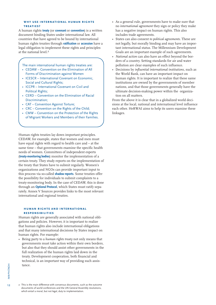### **why use international human rightstreaties?**

A human rights **treaty** (or **covenant** or **convention**) is a written document binding States under international law. All countries that have agreed to be bound by international human rights treaties through **ratification** or **accession** have a legal obligation to implement these rights and principles at the national level.<sup>2</sup>

The main international human rights treaties are: • CEDAW – Convention on the Elimination of All

- Forms of Discrimination against Women
- ICESCR International Covenant on Economic, Social and Cultural Rights;
- ICCPR International Covenant on Civil and Political Rights;
- CERD Convention on the Elimination of Racial Discrimination;
- CAT Convention Against Torture;
- CRC Convention on the Rights of the Child;
- CMW Convention on the Protection of the Rights of Migrant Workers and Members of their Families.

Human rights treaties lay down important principles. CEDAW, for example, states that women and men must have equal rights with regard to health care and – at the same time – that governments examine the specific health needs of women. Committees of independent experts (**treaty-monitoring bodies**) monitor the implementation of a certain treaty. They study reports on the implementation of the treaty that States have to submit regularly. Women's organizations and NGOs can provide important input to this process via so-called **shadow reports**. Some treaties offer the possibility for individuals to submit complaints to a treaty-monitoring body. In the case of CEDAW, this is done through an **Optional Protocol**, which States must ratify separately. Annex V Sources provides links to the most relevant international and regional treaties.

### **human rights and internationalresponsibilities**

Human rights are generally associated with national obligations and policies. However, it is important to realize that human rights also include international obligations and that many international decisions by States impact on human rights. For example:

• Being party to a *human rights treaty* not only means that governments must take action within their own borders, but also that they should assist other governments in the full realization of the human rights laid down in the treaty. Development cooperation, both financial and technical, is an important way of providing such assistance.

- As a general rule, governments have to make sure that no *international agreement* they sign or policy they make has a negative impact on human rights. This also includes trade agreements.
- States can also consent *to political agreements*. These are not legally, but morally binding and may have an important international status. The Millennium Development Goals are an important example of such agreements.
- *National action* can also have an effect beyond the borders of a country. Setting standards for air and water pollution are clear examples of such influence.
- Decisions by *influential international institutions*, such as the World Bank, can have an important impact on human rights. It is important to realize that these same institutions are owned by the governments of member nations, and that those governments generally have the ultimate decision-making power within the organization on all matters.

From the above it is clear that in a globalized world decisions at the local, national and international level influence each other. HeRWAI aims to help its users examine these linkages.

2 This is the main difference with consensus documents, such as the outcome documents of world conferences and the UN General Assembly resolutions, which entail a moral, but not legal, duty to implementation.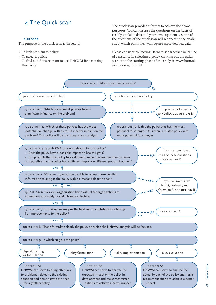# 4 The Quick scan

### **purpose**

The purpose of the quick scan is threefold:

- To link problem to policy;
- To select a policy;
- To find out if it is relevant to use HeRWAI for assessing this policy.

The quick scan provides a format to achieve the above purposes. You can discuss the questions on the basis of readily available data and your own experience. Some of the questions of the quick scan will reappear in the analysis, at which point they will require more detailed data.

Please consider contacting HOM to see whether we can be of assistance in selecting a policy, carrying out the quick scan or in the starting phase of the analysis: www.hom.nl or s.bakker@hom.nl.



13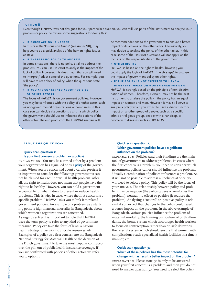### **option B**

Even though HeRWAI was not designed for your particular situation, you can still use parts of the instrument to analyse your problem or policy. Below are some suggestions for doing this:

### **• if quick action is needed**

In this case the 'Discussion Guide' (see Annex VII), may help you to do a quick analysis of the human rights issues at stake.

### **• if there is no policy to address**

In some situations, there is no policy at all to address the problem. You can use HeRWAI to analyse the impact of the lack of policy. However, this does mean that you will need to interpret/ adapt some of the questions. For example, you will have to read 'lack of policy' when the questions state 'the policy'.

### **• if you are concerned about policies of other actors**

The focus of HeRWAI is on government policies. However, you may be confronted with the policy of another actor, such as non-governmental organizations or companies In this case you can decide via questions 2 and 3a which policy the government should use to influence the actions of the other actor. The end product of the HeRWAI analysis will

be recommendations to the government to ensure a better impact of its actions on the other actor. Alternatively, you may decide to analyse the policy of the other actor. In this case some of the HeRWAI questions will not apply, as the focus is on the responsibilities of the government.

### **• other rights**

HeRWAI is based on the right to health; however, you could apply the logic of HeRWAI (the six steps) to analyse the impact of government policy on other rights.

### **• if the policy is not expected to have a**

**different impact on women than for men** HeRWAI is strongly based on the principle of non-discrimination of women. Therefore, HeRWAI may not be the best instrument to analyse the policy if the policy has an equal impact on women and men. However, it may still serve to analyse a policy which you expect to have a discriminatory impact on another group of people, such as a specific ethnic or religious group, people with a handicap, or people with diseases such as HIV AIDS.

### **about the quick scan**

### **Quick scan question 1:**

### **Is your first concern a problem or a policy?**

explanation You may be alarmed either by a problem your organization has signalled or by a **policy** of the government. When you are concerned about a certain *problem* it is important to consider the following: governments cannot be blamed for each individual health problem. After all, the right to health does not mean that people have the right to be healthy. However, you can hold a government accountable for what it does to prevent or reduce health problems. This is why, in cases where the first concern is a specific problem, HeRWAI asks you to link it to related government policies. An example of a problem as a starting point is high maternal mortality in Bangladesh, about which women's organizations are concerned. As regards *policy*, it is important to note that HeRWAI uses the term policy to refer to any kind of government measure. Policy can take the form of laws, a national health strategy, a decision to allocate resources, etc. Examples of a policy as a first concern are the Bangladesh National Strategy for Maternal Health or the decision of the Dutch government to take the most popular contraceptive, the pill, out of public health insurance coverage. If you are confronted with policies of other actors we refer you to option B.

### **Quick scan question 2: Which government policies have a significant influence on the problem?**

explanation Policies (and their funding) are the main tool of governments to address problems. In cases where the first concern is a problem, you need to consider which government policies can or should influence the problem. Usually a combination of policies influences a problem. As it will not be possible to address all policies at once, you will need to select a policy. This policy will be the focus of your analysis. The relationship between policy and problem may be negative (the policy causes or reinforces the problem), neutral (no effect) or positive (it reduces the problem). Analysing a 'neutral' or 'positive' policy is relevant if you expect that changes to the policy could result in a better impact on the problem. In the above example of Bangladesh, various policies influence the problem of maternal mortality: the training curriculum of birth attendants, the bonus system which encourages health workers to focus on contraception rather than on safe deliveries, the referral system which should ensure that women with complications reach specialized health facilities in a timely manner, etc.

### **Quick scan question 3a: Which of these policies has the most potential for change, with as result a better impact on the problem?**

explanation Please note, 3a is only to be answered when your first concern is a problem and then you do not need to answer question 3b. You need to select the policy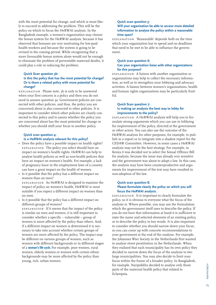with the most potential for change, and which is most likely to succeed in addressing the problem. This will be the policy on which to focus the HeRWAI analysis. In the Bangladesh example, a women's organization may choose the bonus system for the HeRWAI analysis, because it has observed that bonuses are very motivating for low-paid health workers and because the system is going to be revised in the coming period. While recognizing that a more favourable bonus system alone would not be enough to eliminate the problem of preventable maternal deaths, it could play a role in reducing the problem.

### **Quick Scan question 3b:**

### **Is this the policy that has the most potential for change? Or is there a related policy with more potential for change?**

explanation Please note, 3b is only to be answered when your first concern is a policy and then you do not need to answer question 3a. Government policies are connected with other policies, and thus, the policy you are concerned about is also connected to other policies. It is important to consider which other policies are closely connected to this policy and to assess whether the policy you are concerned about has the most potential for change or whether you should shift your focus to another policy.

### **Quick scan question 4: Is a HeRWAI analysis relevant for this policy?**

- Does the policy have a possible impact on health rights? explanation The policy you select should have an impact on women's health rights. HeRWAI can help to analyse health policies as well as non-health policies that have an impact on women's health. For example, a lack of pregnancy leave in the employment laws of a country can have a great impact on the health of women.
- Is it possible that the policy has a different impact on women than on men?

explanation As HeRWAI is designed to examine the impact of policy on women's health, HeRWAI is most suitable if you expect a different impact on women than on men.

• Is it possible that the policy has a different impact on different groups of women?

explanation If it seems that the impact of the policy is similar on men and women, it is still important to consider whether a specific – vulnerable – group of women is more affected by the policy than others. And, if a different impact on women is determined it is necessary to take into account whether certain groups of women are more affected by the policy. The impact may be different on various groups of women, such as women with different backgrounds or in different stages of a **woman's life cycle.** For example, poor women, rural women, elderly women or women with certain ethnic backgrounds may be more affected by the policy than young, rich, urban women.

### **Quick scan question 5:**

### **Will your organization be able to access more detailed information to analyse the policy within a reasonable time span?**

explanation 'Reasonable' depends both on the time which your organization has to spend and on deadlines that need to be met to be able to influence the government.

### **Quick scan question 6: Can your organization liaise with other organizations for this purpose?**

explanation A liaison with another organization or organizations may help to collect the necessary information, as well as to strengthen your lobbying and advocacy activities. A liaison between women's organizations, health and human rights organizations may be particularly fruitful.

### **Quick Scan question 7: Is making an analysis the best way to lobby for improvements to the policy?**

explanation A HeRWAI analysis will help you to formulate strong arguments which you can use in lobbying for improvement of the policy, directed at the government or other actors. You can also use the outcome of the HeRWAI analysis for other purposes, for example, to publish in a report or to integrate into a shadow report for the CEDAW Committee. However, in some cases a HeRWAI analysis may not be the best strategy. For example, in Kenya it was decided not to select the Sexual Offence Bill for analysis, because the issue was already very sensitive and the government was about to adopt a law. In this case, the analysis may have been counterproductive and arguments for improvement of the text may have resulted in non-adoption of the law.

### **Quick scan question 8: Please formulate clearly the policy on which you will focus the HeRWAI analysis.**

explanation It is important to clearly formulate the policy, so it is obvious to everyone what the focus of the analysis is. Where possible, you may use the formulation which the government itself uses to describe the policy. If you do not have that information at hand it is sufficient to state the name and selected elements of an existing policy, or to describe the policy in key words. It is also important to consider whether you should narrow down your focus, so you can come up with concrete recommendations to your government at the end of the analysis. For example, the Johannes Wier Society in the Netherlands first wanted to analyse street prostitution in the Netherlands. When they realized that each municipality has its own policy they decided to narrow down the focus of the analysis to two large municipalities. You may also decide to limit your focus within the frame of a broader policy. In Bangladesh, for example, Naripokkho decided to analyse only those parts of the maternal health policy that related to Eclampsia.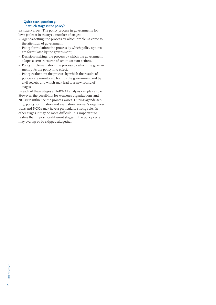### **Quick scan question 9: In which stage is the policy?**

explanation The policy process in governments follows (at least in theory) a number of stages:

- Agenda-setting; the process by which problems come to the attention of government,
- Policy formulation: the process by which policy options are formulated by the government,
- Decision-making: the process by which the government adopts a certain course of action (or non-action),
- Policy implementation: the process by which the government puts the policy into effect,
- Policy evaluation: the process by which the results of policies are monitored, both by the government and by civil society, and which may lead to a new round of stages.

In each of these stages a HeRWAI analysis can play a role. However, the possibility for women's organizations and NGOs to influence the process varies. During agenda-setting, policy formulation and evaluation, women's organizations and NGOs may have a particularly strong role. In other stages it may be more difficult. It is important to realize that in practice different stages in the policy cycle may overlap or be skipped altogether.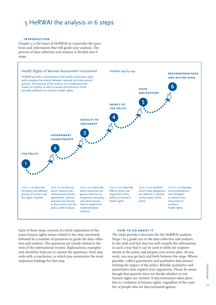# 5 HeRWAI the analysis in 6 steps

### **introduction**

Chapter 5 is the heart of HeRWAI as it provides the questions and information that will guide your analysis. The process of data collection and analysis is divided into 6 steps.



Each of these steps consists of a brief explanation of the main human rights issues related to the step concerned, followed by a number of questions to guide the data collection and analysis. The questions are closely related to the texts of the international treaties. Explanations, examples and checklists help you to answer the questions. Each step ends with a conclusion, in which you summarize the most important findings for that step.

### **how to go about it**

The steps provide a structure for the HeRWAI analysis. Steps I to 5 guide you in the data collection and analysis. In the sixth and last step you will compile the information in such a way that it can be used to lobby for improvements in the policy and prepare your action plan. As you work, you may go back and forth between the steps. Where possible, collect quantitative and qualitative data demonstrating the impact of the policy. Reliable qualitative and quantitative data support your arguments. Please be aware though that quantity does not decide whether or not human rights are violated. If discrimination takes place, this is a violation of human rights, regardless of the number of people who are discriminated against.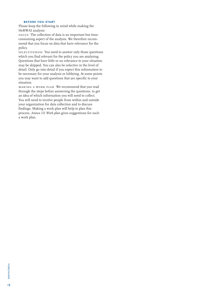### **before you start**

Please keep the following in mind while making the HeRWAI analysis:

focus The collection of data is an important but timeconsuming aspect of the analysis. We therefore recommend that you focus on data that have relevance for the policy.

selectiveness You need to answer only those questions which you find relevant for the policy you are analysing. Questions that have little or no relevance to your situation may be skipped. You can also be selective in the level of detail. Only go into detail if you expect this information to be necessary for your analysis or lobbying. At some points you may want to add questions that are specific to your situation.

making a work plan We recommend that you read through the steps before answering the questions, to get an idea of which information you will need to collect. You will need to involve people from within and outside your organization for data collection and to discuss findings. Making a work plan will help to plan this process. *Annex III Work plan* gives suggestions for such a work plan.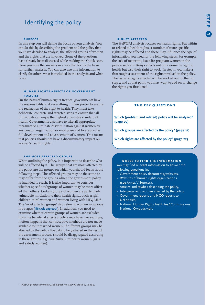# Identifying the policy

### **purpose**

In this step you will define the focus of your analysis. You can do this by describing the problem and the policy that you have decided to analyse, the affected groups of women and the rights that are involved. Some of the questions have already been discussed while making the Quick scan. Here you note the answers in a way that forms the basis for further analysis. You can also use this information to clarify for others what is included in the analysis and what is not.

### **human rights aspects of government policies**

On the basis of human rights treaties, governments have the responsibility to do everything in their power to ensure the realization of the right to health. They must take deliberate, concrete and targeted steps to ensure that all individuals can enjoy the highest attainable standard of health. Governments also have to take all appropriate measures to eliminate discrimination against women by any person, organization or enterprise and to ensure the full development and advancement of women. This means that policies should not have a discriminatory impact on women's health rights.<sup>1</sup>

### **the most affected groups.**

When outlining the policy, it is important to describe who will be affected by it. The groups that are most affected by the policy are the groups on which you should focus in the following steps. The affected groups may be the same or may differ from the groups which the government policy is intended to reach. It is also important to consider whether specific subgroups of women may be more affected than others. Certain groups of women are particularly vulnerable in relation to their health rights, such as girl children, rural women and women living with HIV/AIDS. The 'most affected groups' also refers to women in various life stages (**life-cycle approach**). In addition, you need to examine whether certain groups of women are excluded from the beneficial effects a policy may have. For example, it often happens that contraceptive methods are not made available to unmarried women. If different groups may be affected by the policy, the data to be gathered in the rest of the assessment process should be disaggregated according to these groups (e.g. rural/urban, minority women, girls and elderly women).

### **rights affected**

The HeRWAI analysis focuses on health rights. But within or related to health rights, a number of more specific rights may be affected and these may influence the type of information you need for the following steps. For example, the lack of maternity leave for pregnant women in the private sector in Kenya affects not only women's right to health but also their right to work. In step 1, you make a first rough assessment of the rights involved in the policy. The issue of rights affected will be worked out further in step 4 and at that point, you may want to add on or change the rights you first listed.

### **the key questions**

**Which (problem and related) policy will be analysed? (page 20)**

**Which groups are affected by the policy? (page 21)**

**Which rights are affected by the policy? (page 22)**

### **where to find the information**

You may find relevant information to answer the following questions in:

- Government policy documents/websites,
- Websites of human rights organizations (see Annex V Sources),
- Articles and studies describing the policy,
- Interviews with women affected by the policy,
- Government reports and NGO reports to UN bodies,
- National Human Rights Institutes/ Commissions, National Ombudsmen.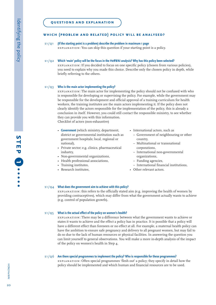# **which (problem and related) policy will be analysed?**

### $S1/O1$  **(If the starting point is a problem) describe the problem in maximum 1 page** explanation: You can skip this question if your starting point is a policy.

### $S1/Q2$ **Which 'main' policy will be the focus in the HeRWAI analysis? Why has this policy been selected?**

explanation: If you decided to focus on one specific policy (chosen from various policies), you need to explain why you made this choice. Describe only the chosen policy in depth, while briefly referring to the others.

### s1/q3**Who is the main actor implementing the policy?**

explanation: The main actor for implementing the policy should not be confused with who is responsible for developing or supervising the policy. For example, while the government may be responsible for the development and official approval of a training curriculum for health workers, the training institutes are the main actors implementing it. If the policy does not clearly identify the actors responsible for the implementation of the policy, this is already a conclusion in itself. However, you could still contact the responsible ministry, to see whether they can provide you with this information. Checklist of actors (non-exhaustive)

• **Government** (which ministry, department, district or governmental institution such as government hospitals; local, regional or

- national), • Private sector; e.g. clinics, pharmaceutical industry,
- Non-governmental organizations,
- Health professional associations,
- Training institutes,
- Research institutes,
- International actors, such as
	- Government of neighbouring or other country,
	- Multinational or transnational corporations,
	- International non-governmental organizations,
	- Funding agencies,
- International financial institutions,
- Other relevant actors.

#### $S1/Q4$ **What does the government aim to achieve with this policy?**

explanation: this refers to the officially stated aim (e.g. improving the health of women by providing contraceptives), which may differ from what the government actually wants to achieve (e.g. control of population growth).

#### $S1/Q5$ **What is the actual effect of the policy on women's health?**

explanation: There may be a difference between what the government wants to achieve or states it wants to achieve and the effect a policy has in practice. It is possible that a policy will have a different effect than foreseen or no effect at all. For example, a maternal health policy can have the ambition to ensure safe pregnancy and delivery to all pregnant women, but may fail to do so due to the lack of human resources or physical facilities. In answering the question you can limit yourself to general observations. You will make a more in-depth analysis of the impact of the policy on women's health in Step 4.

### s1/q6 **Are there special programmes to implement the policy? Who is responsible for these programmes?**

explanation: Often special programmes 'flesh out' a policy; they specify in detail how the policy should be implemented and which human and financial resources are to be used.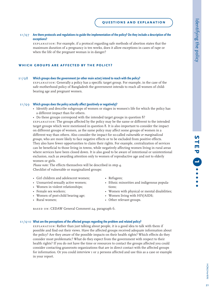### s1/q7 **Are there protocols and regulations to guide the implementation of the policy? Do they include a description of the exceptions?**

explanation: For example, if a protocol regarding safe methods of abortion states that the maximum duration of a pregnancy is ten weeks, does it allow exceptions in cases of rape or when the life of the pregnant woman is in danger?

### **which groups are affected by the policy?**

#### s<sub>1</sub>/o<sub>8</sub> **Which groups does the government (or other main actor) intend to reach with the policy?**

explanation: Generally a policy has a specific target group. For example, in the case of the safe motherhood policy of Bangladesh the government intends to reach all women of childbearing age and pregnant women.

### s1/q9 **Which groups does the policy actually affect (positively or negatively)?**

- Identify and describe subgroups of women or stages in women's life for which the policy has a different impact than for others.
- Do these groups correspond with the intended target groups in question 8?

explanation: The groups affected by the policy may be the same or different to the intended target groups which were mentioned in question 8. It is also important to consider the impact on different groups of women, as the same policy may affect some groups of women in a different way than others. Also consider the impact for so-called *vulnerable or marginalized groups,* who are more likely to face negative effects or to be excluded from positive effects. They also have fewer opportunities to claim their rights. For example, centralization of services can be beneficial to those living in towns, while negatively affecting women living in rural areas where services have been closed down. It is also good to be aware of intentional or unintentional exclusion, such as awarding attention only to women of reproductive age and not to elderly women or girls.

*Please note*: The effects themselves will be described in step 4. Checklist of vulnerable or marginalized groups:

- Girl children and adolescent women;
- Unmarried sexually active women;
- Women in violent relationships;
- Female sex workers;
- Women of post-child bearing age;
- Rural women;
- Refugees;
- Ethnic minorities and indigenous populations;
- Women with physical or mental disabilities;
- Women living with HIV/AIDS;
- Other relevant groups.

based on: CEDAW General Comment 24, paragraph 6.

### s1/q10 **What are the perceptions of the affected groups regarding the problem and related policy?**

explanation: Rather than just talking about people, it is a good idea to talk with them if possible and find out their views. Have the affected groups received adequate information about the policy? Are they aware of the possible impacts on their health rights? Which effects do they consider most problematic? What do they expect from the government with respect to their health rights? If you do not have the time or resources to contact the groups affected you could consider contacting grassroots organizations that are in direct contact with the affected groups for information. Or you could interview 1 or 2 persons affected and use this as a case or example in your report.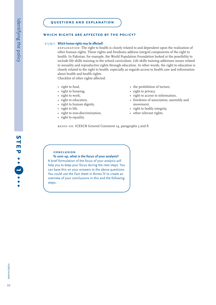### **which rights are affected by the policy?**

### s1/q11 **Which human rights may be affected?**

explanation: The right to health is closely related to and dependent upon the realization of other human rights. These rights and freedoms address integral components of the right to health. In Pakistan, for example, the World Population Foundation looked at the possibility to include life skills training in the school curriculum. Life skills training addresses issues related to sexuality and reproductive rights through education. In other words, the right to education is closely related to the right to health, especially as regards access to health care and information about health and health rights.

Checklist of other rights affected:

- right to food,
- right to housing,
- right to work,
- right to education,
- right to human dignity,
- right to life,
- right to non-discrimination,
- right to equality,
- the prohibition of torture,
- right to privacy,
- right to access to information,
- freedoms of association, assembly and movement,
- right to bodily integrity,
- other relevant rights.

BASED ON: ICESCR General Comment 14, paragraphs 3 and 8.

### **conclusion**

# **To sum up, what is the focus of your analysis?**

A brief formulation of the focus of your analysis will help you to keep your focus during the next steps. You can base this on your answers to the above questions. You could use the Fact sheet in Annex IV to create an overview of your conclusions in this and the following steps.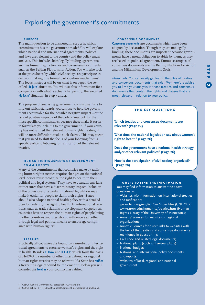# Exploring the government's commitments

### **purpose**

The main question to be answered in step 2 is: which commitments has the government made? You will explore which national and international agreements, policies and laws are relevant to the country and the policy under analysis. This includes both legally binding agreements such as human rights treaties and consensus documents such as the Beijing Platform for Action. You will also look at the procedures by which civil society can participate in decision-making (the formal participation mechanisms). The focus in step 2 will be on what is on paper, the socalled '**de jure'** situation. You will use this information for a comparison with what is actually happening, the so-called '**de facto'** situation, in step 3 and 4.

The purpose of analysing government commitments is to find out which standards you can use to hold the government accountable for the possible negative impact – or the lack of positive impact – of the policy. You look for the most specific commitments, because these make it easier to formulate your claims to the government. If your country has not ratified the relevant human rights treaties, it will be more difficult to make such claims. This may mean that you need to shift the focus of your lobbying from a specific policy to lobbying for ratification of the relevant treaties.

### **human rights aspects of government commitments**

Many of the commitments that countries make by ratifying human rights treaties require changes on the national level. States must recognize the right to health in their political and legal system.<sup>1</sup> They have to abandon any laws or measures that have a discriminatory impact. Inclusion of the provisions of a treaty in national legislation may make it easier for people to claim their rights. States should also adopt a national health policy with a detailed plan for realizing the right to health. In international relations, such as trade relations or development cooperation, countries have to respect the human rights of people living in other countries and they should influence each other through legal and political means to encourage compliance with human rights<sup>2</sup>.

### **treaties**

Practically all countries are bound by a number of international agreements to exercise women's rights and the right to health. Besides **CEDAW** and **ICESCR**, which form the basis of HeRWAI, a number of other international or regional human rights treaties may be relevant. If a State has **ratified** a treaty, it is legally bound to implement it. Below you will consider the **treaties** your country has ratified.

### **consensus documents**

**Consensus documents** are documents which have been adopted by declaration. Though they are not legally binding, these documents are important because governments have a moral obligation to abide by them, as they are based on political agreement. Famous examples of consensus documents are the Beijing Platform for Action and the Millennium Development Goals.

*Please note*: You can easily get lost in the piles of treaties and consensus documents that exist. We therefore advise you to limit your analysis to those treaties and consensus documents that contain the rights and clauses that are most relevant in relation to your policy.

### **the key questions**

**Which treaties and consensus documents are relevant? (Page 24)**

**What does the national legislation say about women's right to health? (Page 26)**

**Does the government have a national health strategy and/or other relevant policies? (Page 26)**

**How is the participation of civil society organized? (Page 28)**

### **where to find the information**

You may find information to answer the above questions in:

- Websites with information on international treaties and ratification:
- www.ohchr.org/english/law/index.htm (UNHCHR), www1.umn.edu/humanrts/treaties.htm (Human Rights Library of the University of Minnesota);
- Annex V Sources for websites of regional organizations;
- Annex V Sources for direct links to websites with the text of the treaties and consensus documents mentioned in question 1-3;
- Civil code and related legal documents;
- National plans (such as five-year plans);
- National budget;
- National and international policy documents and reports;
- Websites of local, regional and national government

<sup>1</sup> ICESCR General Comment 14, paragraphs 34-36 and 60.

<sup>2</sup> ICESCR article. 2 (1); ICESCR General Comment, paragraphs 39 and 63-65.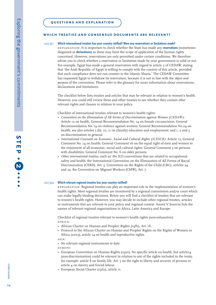### **which treaties and consensus documents are relevant?**

#### s2/q1**Which international treaties has your country ratified? Were any reservations or limitations made?**

explanation: It is important to check whether the State has made any **reservations** (sometimes disguised as **declarations**) as these may limit the scope of application of the human rights concerned. However, reservations are only permitted under certain conditions. We therefore advise you to check whether a reservation or limitation made by your government is valid or not. For example, Egypt has made a general reservation with regard to article 2 of CEDAW, stating that 'the Arab Republic of Egypt is willing to comply with the content of this article, provided that such compliance does not run counter to the Islamic Sharia.' The CEDAW Committee has requested Egypt to withdraw its reservation, because it is not in line with the *object and purpose* of the convention. Please refer to the glossary for more information about reservations, declarations and limitations.

The checklist below lists treaties and articles that may be relevant in relation to women's health. However, you could still review these and other treaties to see whether they contain *other* relevant rights and clauses in relation to your policy.

Checklist of international treaties relevant to women's health rights:

- *• Convention on the Elimination of All Forms of Discrimination against Women (CEDAW)*: Article 12 on health, General Recommendation No. 14 on female circumcision; General Recommendation No. 19 on violence against women; General Recommendation No.24 on health; see also articles 5 (b), 10, 11 on (family) education and employment; and 1, 2 and 3 on discrimination in general.
- *• International Covenant on Economic, Social and Cultural Rights (ICESCR)*: Article 12; General Comment No. 14 on health; General Comment 16 on the equal right of men and women to the enjoyment of all economic, social and cultural rights; General Comment 5 on persons with disabilities; General Comment No. 6 on older persons.
- *• Other international treaties*, such as: the ILO conventions that are related to occupational safety and health; the International Convention on the Elimination of All Forms of Racial Discrimination (CERD), Art. 5; Convention on the Rights of the Child (CRC), articles 24 and 25; the Convention on Migrant Workers (CMW), Art. 7.

### s2/q2 **Which relevant regional treaties has your country ratified?**

explanation: Regional treaties can play an important role in the implementation of women's health rights. Most regional treaties are monitored by a regional commission and/or court which can make legally binding decisions. Below you will find a checklist of treaties that are relevant to women's health rights. However, you may decide to include other regional treaties, articles or instruments that are relevant to your policy and regional context. Annex V Sources lists the names of relevant regional organizations in Africa, Latin America and Europe.

Checklist of regional treaties relevant to women's health rights (non-exhaustive): africa:

- *•* African Charter on Human and Peoples' Rights (1981), Art. 16.
- *•* Protocol to the African Charter on Human and Peoples' Rights on the Rights of Women in Africa (2003), article 14 on health and reproductive rights.

ASIA:

- *•* No relevant regional instruments to date.
- europe:
- European Convention on Human Rights (1950). No specific article on health, but article14 (non-discrimination) could be relevant in relation to any of the rights included in the treaty, for example: article 8 on family life, Art. 5 on the right to liberty and security of persons or article 4 on slavery and forced labour.
- *•* European Social Charter (1961), article 11.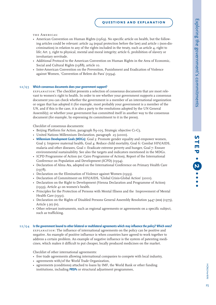the Americas:

- American Convention on Human Rights (1969). No specific article on health, but the following articles could be relevant: article 24 (equal protection before the law) and article 1 (non-discrimination) in relation to any of the rights included in the treaty, such as article  $\mu$ , right to life; Art. 5, right to physical, mental and moral integrity; article 6, prohibition of slavery or involuntary servitude.
- *•* Additional Protocol to the American Convention on Human Rights in the Area of Economic, Social and Cultural Rights (1988), article 10.
- *•* Inter-American Convention on the Prevention, Punishment and Eradication of Violence against Women, 'Convention of Belem do Para' (1994).

### s2/q3 **Which consensus documents does your government support?**

explanation: The checklist presents a selection of consensus documents that are most relevant to women's right to health. In order to see whether your government supports a consensus document you can check whether the government is a member of an international organization or organ that has adopted it (for example, most probably your government is a member of the UN, and if this is the case, it is also a party to the resolutions adopted by the UN General Assembly); or whether your government has committed itself in another way to the consensus document (for example, by expressing its commitment to it in the press).

Checklist of consensus documents:

- *•* Beijing Platform for Action, paragraph 89-105, Strategic objective C1-C5.
- *•* United Nations Millennium Declaration, paragraph 25 (2000).
- *•* **Millennium Development Goals (MDGs)**: Goal 3: Promote gender equality and empower women, Goal 5: Improve maternal health, Goal 4: Reduce child mortality, Goal 6: Combat HIV/AIDS, malaria and other diseases, Goal 1: Eradicate extreme poverty and hunger, Goal 7: Ensure environmental sustainability. See also the targets and indicators mentioned in the MDGs.
- *•* ICPD Programme of Action (or: Cairo Programme of Action), Report of the International Conference on Population and Development (ICPD) (1994).
- *•* Declaration of Alma Ata, adopted on the International Conference on Primary Health Care  $(1978)$ .
- Declaration on the Elimination of Violence against Women (1993).
- *•* Declaration of Commitment on HIV/AIDS, 'Global Crisis-Global Action' (2001).
- *•* Declaration on the Right to Development (Vienna Declaration and Programme of Action) (1993), Article 41 on women's health.
- *•* Principles for the Protection of Persons with Mental Illness and the Improvement of Mental Health Care (1991).
- Declaration on the Rights of Disabled Persons General Assembly Resolution 3447 (xxx) (1975), Article 5 (e) (iv).
- *•* Other relevant instruments, such as regional agreements or agreements on a specific subject, such as trafficking.

### s2/q4 **Is the government bound to other bilateral or multilateral agreements which may influence the policy? Which ones?**

explanation: The influence of international agreements on the policy can be positive and negative. An example of positive influence is when countries have agreed to work together to address a certain problem. An example of negative influence is the system of patenting medicines, which makes it difficult to put cheaper, locally produced medicines on the market.

Checklist of other international agreements:

- free trade agreements allowing international companies to compete with local industry,
- agreements with/of the World Trade Organization,
- agreements (conditions) attached to loans by IMF, the World Bank or other funding institutions, including **PRSPs** or structural adjustment programmes,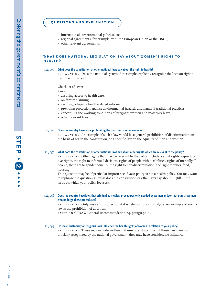### **questions and explanation**

- international environmental policies, etc.,
- regional agreements, for example, with the European Union or the OSCE,
- other relevant agreements.

### **what does national legislation say about women's right tohealth?**

#### $s2/Q5$ **What does the constitution or other national laws say about the right to health?**

explanation: Does the national system, for example, explicitly recognize the human right to health as universal?

Checklist of laws:

Laws:

- assuring access to health care,
- on family planning,
- assuring adequate health-related information,
- providing protection against environmental hazards and harmful traditional practices,
- concerning the working conditions of pregnant women and maternity leave,
- other relevant laws.

### s2/q6 **Does the country have a law prohibiting the discrimination of women?**

explanation: An example of such a law would be a general prohibition of discrimination on the basis of sex in the constitution, or a specific law on the equality of men and women.

#### s2/q7**What does the constitution or other national laws say about other rights which are relevant to the policy?**

explanation: Other rights that may be relevant to the policy include: sexual rights, reproductive rights, the right to informed decision, rights of people with disabilities, rights of mentally ill people, the right to gender equality, the right to non-discrimination, the right to water, food, housing.

This question may be of particular importance if your policy is not a health policy. You may want to rephrase the question as: what does the constitution or other laws say about …. (fill in the issue on which your policy focuses).

### s2/q8 **Does the country have laws that criminalize medical procedures only needed by women and/or that punish women who undergo those procedures?**

explanation: Only answer this question if it is relevant to your analysis. An example of such a law is the prohibition of abortion.

BASED ON CEDAW General Recommendation 24, paragraph 14.

### s2/q9 **Do local, customary or religious laws influence the health rights of women in relation to your policy?**

explanation: These may include written and unwritten laws. Even if these 'laws' are not officially recognized by the national government, they may have considerable influence.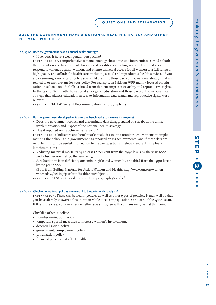### **does the government have a national health strategy and otherrelevant policies?**

### s2/q10 **Does the government have a national health strategy?**

• If so, does it have a clear gender perspective?

explanation: A comprehensive national strategy should include interventions aimed at both the prevention and treatment of diseases and conditions affecting women. It should also respond to violence against women, and ensure universal access for all women to a full range of high-quality and affordable health care, including sexual and reproductive health services. If you are examining a non-health policy you could examine those parts of the national strategy that are related to or are relevant for your policy. For example, in Pakistan WPF mainly focused on education in schools on life skills (a broad term that encompasses sexuality and reproductive rights). In the case of WPF both the national strategy on education and those parts of the national health strategy that address education, access to information and sexual and reproductive rights were relevant.

BASED ON CEDAW General Recommendation 24 paragraph 29.

### s2/q11 **Has the government developed indicators and benchmarks to measure its progress?**

- Does the government collect and disseminate data disaggregated by sex about the aims, implementation and impact of the national health strategy?
- Has it reported on its achievements so far?

explanation: Indicators and benchmarks make it easier to monitor achievements in implementing the policy. If the government has reported on its achievements (and if these data are reliable), this can be useful information to answer questions in steps 3 and 4. Examples of benchmarks are:

- Reducing maternal mortality by at least 50 per cent from the 1990 levels by the year 2000 and a further one half by the year 2015,
- A reduction in iron deficiency anaemia in girls and women by one third from the 1990 levels by the year 2000

(Both from Beijing Platform for Action Women and Health, http://www.un.org/womenwatch/daw/beijing/platform/health.htm#object1).

BASED ON: ICESCR General Comment 14, paragraph 57 and 58.

### s2/q12 **Which other national policies are relevant to the policy under analysis?**

explanation: These can be health policies as well as other types of policies. It may well be that you have already answered this question while discussing question 2 and or 3 of the Quick scan. If this is the case, you can check whether you still agree with your answer given at that point.

Checklist of other policies:

- non-discrimination policy,
- temporary special measures to increase women's involvement,
- decentralization policy,
- governmental employment policy,
- privatization policy,
- *•* financial policies that affect health.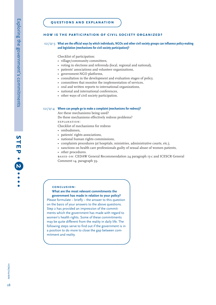### **how is the participation of civil society organized?**

### s2/q13 **What are the official ways by which individuals, NGOs and other civil society groups can influence policy-making and legislation (mechanisms for civil society participation)?**

Checklist of participation:

- village/community committees,
- voting in elections and referenda (local, regional and national),
- patients' associations and volunteer organizations,
- government-NGO platforms,
- consultation in the development and evaluation stages of policy,
- committees that monitor the implementation of services,
- oral and written reports to international organizations,
- national and international conferences,
- other ways of civil society participation.

### s2/q14 **Where can people go to make a complaint (mechanisms for redress)?**

Are these mechanisms being used?

Do these mechanisms effectively redress problems? explanation:

Checklist of mechanisms for redress

- ombudsmen,
- patients' rights associations,
- national human rights commissions,
- complaints procedures (at hospitals, ministries, administrative courts, etc.),
- sanctions on health care professionals guilty of sexual abuse of women patients,
- other procedures.

based on: CEDAW General Recommendation 24 paragraph 15-c and ICESCR General Comment 14, paragraph 59.

### **conclusion:**

**What are the most relevant commitments the government has made in relation to your policy?**  Please formulate – briefly – the answer to this question on the basis of your answers to the above questions. Step 2 has provided an impression of the commitments which the government has made with regard to women's health rights. Some of these commitments

may be quite different from the reality in daily life. The following steps serve to find out if the government is in a position to do more to close the gap between commitment and reality.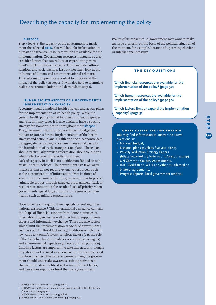# Describing the capacity for implementing the policy

### **purpose**

Step 3 looks at the capacity of the government to implement the selected **policy**. You will look for information on human and financial resources which are available for the implementation. Government resources fluctuate, so also consider factors that can reduce or expand the government's implementation capacity. These include cultural, religious and social factors. Last but not least, look at the influence of donors and other international relations. This information provides a context to understand the impact of the policy in step 4. It will also help to formulate realistic recommendations and demands in step 6.

### **human rights aspects of a government'simplementation capacity**

A country needs a national health strategy and action plans for the implementation of its health policy. While the general health policy should be based on a sound gender analysis, in many cases it is also useful to have a specific strategy for women's health throughout their **life cycle**. 1 The government should allocate sufficient budget and human resources for the implementation of the health strategy and action plans. Health and socio-economic data disaggregated according to sex are an essential basis for the formulation of such strategies and plans. These data should particularly provide information about conditions which affect women differently from men.<sup>2</sup> Lack of capacity in itself is no justification for bad or nonexistent health policies. The government can take many measures that do not require extensive resources, such as the dissemination of information. Even in times of severe resource constraints, the government has to protect vulnerable groups through targeted programmes.<sup>3</sup> Lack of resources is sometimes the result of lack of priority, when governments spend large amounts on issues other than health, such as military expenditures.

Governments can expand their capacity by seeking international assistance.4 This international assistance can take the shape of financial support from donor countries or international agencies, as well as technical support from experts and information exchange. There are also factors which limit the implementation capacity of governments, such as socio/ cultural factors (e.g. traditions which attach low value to women's lives), religious factors (e.g. the role of the Catholic church in policies on reproductive rights) and environmental aspects (e.g. floods and air pollution). Limiting factors are important to take into account, though they should not be used as an excuse. If, for example, local tradition attaches little value to women's lives, the government should undertake awareness-raising activities to change these ideas. Political will is an important factor, and can either expand or limit the use a government

- 1 ICESCR General Comment 14, paragraph 21.
- 2 CEDAW General Recommendation 24, paragraph 9 and 10; ICESCR General Comment 14, paragraph 20.
- 3 ICESCR General Comment 14, paragraph 18.
- 4 ICESCR article 2 and General Comment 14, paragraph 38.

makes of its capacities. A government may want to make an issue a priority on the basis of the political situation of the moment, for example, because of upcoming elections or international pressure.

### **the key questions**

**Which financial resources are available for the implementation of the policy? (page 30)**

**Which human resources are available for the implementation of the policy? (page 30)**

**Which factors limit or expand the implementation capacity? (page 31)**

### **where to find the information**

You may find information to answer the above questions in:

- National budget,
- National plans (such as five-year plans),
- Poverty Reduction Strategy Papers (http://www.imf.org/external/np/prsp/prsp.asp),
- UN Common Country Assessments,
- IMF, World Bank, WTO and other multilateral or bilateral agreements,
- Progress reports, local government reports.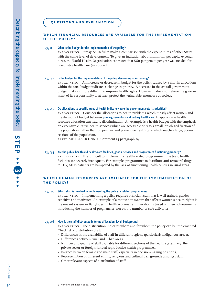### **which financial resources are available for the implementationof the policy?**

#### $S3/Q1$ **What is the budget for the implementation of the policy?**

explanation: It may be useful to make a comparison with the expenditures of other States with the same level of development. To give an indication about minimum per capita expenditures, the World Health Organization estimated that \$60 per person per year was needed for reasonable health care (in 2000).<sup>5</sup>

#### $S3/O2$ **Is the budget for the implementation of the policy decreasing or increasing?**

explanation: An increase or decrease in budget for the policy, caused by a shift in allocations within the total budget indicates a change in priority. A decrease in the overall government budget makes it more difficult to improve health rights. However, it does not relieve the government of its responsibility to at least protect the 'vulnerable' members of society.

#### $s3/Q3$ **Do allocations to specific areas of health indicate where the government sets its priorities?**

explanation: Consider the allocations to health problems which mostly affect women and the division of budget between **primary, secondary and tertiary health care**. Inappropriate health resource allocation can lead to discrimination. An example is a health budget with the emphasis on expensive curative health services which are accessible only to a small, privileged fraction of the population, rather than on primary and preventive health care which reaches large, poorer sections of the population.

BASED ON: ICESCR General Comment 14 paragraph 19.

### s3/q4 **Are the public health and health-care facilities, goods, services and programmes functioning properly?**

explanation: It is difficult to implement a health-related programme if the basic health facilities are severely inadequate. For example, programmes to distribute anti-retroviral drugs to HIV/AIDS patients are hampered by the lack of functioning health centres in rural areas.

### **which human resources are available for the implementation ofthe policy?**

#### $s3/Q5$ **Which staff is involved in implementing the policy or related programmes?**

explanation: Implementing a policy requires sufficient staff that is well trained, gender sensitive and motivated. An example of a motivation system that affects women's health rights is the reward system in Bangladesh. Health workers remuneration is based on their achievements in reducing the number of pregnancies, not on the number of safe deliveries.

### s3/q6 **How is the staff distributed in terms of location, level, background?**

explanation: The distribution indicates where and for whom the policy can be implemented. Checklist of distribution of staff:

- Differences in the availability of staff in different regions (particularly indigenous areas),
- Differences between rural and urban areas,
- Number and quality of staff available for different sections of the health system, e.g. the private sector or foreign-funded reproductive health programmes,
- Balance between female and male staff, especially in decision-making positions,
- Representation of different ethnic, religious and cultural backgrounds amongst staff,
- Other relevant aspects of distribution of staff.

<u>س</u>

HOM/HerWAI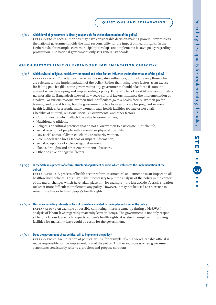**سا** 

### **questions and explanation**

### s3/q7 **Which level of government is directly responsible for the implementation of the policy?**

explanation: Local authorities may have considerable decision-making powers. Nevertheless, the national government holds the final responsibility for the impact on health rights. In the Netherlands, for example, each municipality develops and implements its own policy regarding prostitution. The national government only sets general standards.

# **which factors limit or expand the implementation capacity?**

### s3/q8 **Which cultural, religious, social, environmental and other factors influence the implementation of the policy?**

explanation: Consider positive as well as negative influences, but include only those which are relevant for the implementation of the policy. Rather than using these factors as an excuse for failing policies (like some governments do), governments should take these factors into account when developing and implementing a policy. For example, a HeRWAI analysis of maternal mortality in Bangladesh showed how socio-cultural factors influence the implementation of a policy. For various reasons, women find it difficult to go to a health facility. Women prefer training and care at home, but the government policy focuses on care for pregnant women in health facilities. As a result, many women reach health facilities too late or not at all. Checklist of cultural, religious, social, environmental and other factors:

- Cultural norms which attach low value to women's lives,
- Nutritional traditions,
- Religious or cultural practices that do not allow women to participate in public life,
- Social rejection of people with a mental or physical disability,
- Low social status of divorced, elderly or minority women,
- Role models who break taboos or impart information,
- Social acceptance of violence against women,
- Floods, droughts and other environmental disasters,
- Other positive or negative factors.

### s3/q9 **Is the State in a process of reform, structural adjustment or crisis which influences the implementation of the policy?**

explanation: A process of health sector reform or structural adjustment has an impact on all health-related policies. This may make it necessary to put the analysis of the policy in the context of the major changes which have taken place in – for example – the last decade. A crisis situation makes it more difficult to implement any policy. However, it may not be used as an excuse to remain inactive or to limit people's health rights.

### s3/q10 **Describe conflicting interests or lack of consistency related to the implementation of the policy.**

explanation: An example of possible conflicting interests came up during a HeRWAI analysis of labour laws regarding maternity leave in Kenya. The government is not only responsible for a labour law which respects women's health rights, it is also an employer. Improving facilities for maternity leave could be costly for the government.

### s3/q11 **Does the government show political will to implement the policy?**

EXPLANATION: An indication of political will is, for example, if a high-level, capable official is made responsible for the implementation of the policy. Another example is when government statements consistently refer to a problem and propose solutions.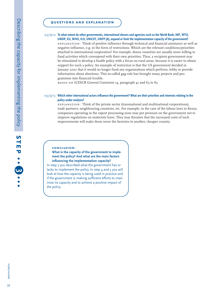### **questions and explanation**

### s3/q12 **To what extent do other governments, international donors and agencies such as the World Bank, IMF, WTO, UNDP, EU, WHO, ILO, UNICEF, UNFP (A), expand or limit the implementation capacity of the government?**

EXPLANATION: Think of positive influence through technical and financial assistance as well as negative influence, e.g. in the form of restrictions. Which are the relevant conditions/priorities attached to international cooperation? For example, donor countries are usually more willing to fund activities which correspond with their own priorities. Thus, a recipient government may be stimulated to develop a health policy with a focus on rural areas, because it is easier to obtain support for such a policy. An example of restriction is that the US government decided in January 2001 that it would no longer fund any organizations which perform, lobby or provide information about abortions. This so-called gag rule has brought many projects and programmes into financial trouble.

 $\overline{b}$  as ED ON ICESCR General Comment 14, paragraph 41 and 63 to 65

### s3/q13 **Which other international actors influence the government? What are their priorities and interests relating to the policy under analysis?**

EXPLANATION: Think of the private sector (transnational and multinational corporations), trade partners, neighbouring countries, etc. For example, in the case of the labour laws in Kenya, companies operating in the export processing zone may put pressure on the government not to improve regulations on maternity leave. They may threaten that the increased costs of such improvements will make them move the factories to another, cheaper country.

### **conclusion:**

### **What is the capacity of the government to implement the policy? And what are the main factors influencing the implementation capacity?**

In step 3 you described what the government has or lacks to implement the policy. In step 4 and 5 you will look at how the capacity is being used in practice and if the government is making sufficient efforts to maximize its capacity and to achieve a positive impact of the policy.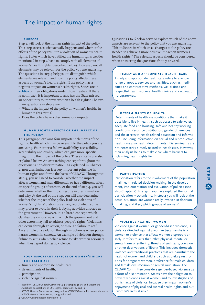# The impact on human rights

### **purpose**

Step 4 will look at the human rights impact of the policy. This step assesses what actually happens and whether the effects of the policy result in a violation of women's health rights. States which have ratified the human rights treaties mentioned in step 2 have to comply with all elements of women's health rights (described below). However, not all elements may be relevant for the policy you are analysing. The questions in step 4 help you to distinguish which elements are relevant and how the policy affects these aspects of women's health rights. If the policy has a negative impact on women's health rights, States are in **violation** of their obligations under those treaties. If there is no impact, it is important to ask: has the State missed an opportunity to improve women's health rights? The two main questions in step 4 are:

- What is the impact of the policy on women's health, in human rights terms?
- Does the policy have a discriminatory impact?

### **human rights aspects of the impact ofthe policy**

This paragraph explains four important elements of the right to health which may be relevant to the policy you are analysing. Four criteria follow: availability, accessibility, acceptability and quality, which can give more specific insight into the impact of the policy. These criteria are also explained below. An overarching concept throughout the questions is non-discrimination. As explained in Chapter 2, non-discrimination is a very important principle in human rights and forms the basis of CEDAW. Throughout step 4, you will need to consider whether the impact affects women and men differently or has a different effect on specific groups of women. At the end of step 4, you will determine whether the impact results in discrimination and why. At the end of the step, you will also determine whether the impact of the policy leads to violations of women's rights. Violation is a strong word which some may prefer to avoid in their lobbying activities directed at the government. However, it is a broad concept, which clarifies the various ways in which the government and other actors may fail to address people's rights. Violations can occur through an action, or through failure to act.<sup>1</sup> An example of a violation through an action is when police harass women in custody. An example of violation through failure to act is when police refuse to take women seriously when they report domestic violence.

### **four important aspects of women's rightto health are:**

- timely and appropriate health care,
- determinants of health,
- participation,
- violence against women.
- 1 Based on ICESCR General Comment 14, paragraphs 48-49, and Maastricht guidelines on violations of ESC Rights, paragraphs 14 and 15.
- 2 ICESCR General Comment 14, paragraph 11; CEDAW General Recommendation 19. 3 ICESCR General Comment 14, paragraph 4 and 11.
- 4 CEDAW General Recommendation 19

Questions 1 to 6 below serve to explore which of the above aspects are relevant to the policy that you are analysing. This indicates in which areas changes to the policy are needed to achieve a more positive impact on women's health rights.<sup>2</sup> The relevant aspects should be considered when answering the questions from 7 onward.

### **timely and appropriate health care**

Timely and appropriate health care refers to a whole range of goods, services and facilities, such as medicines and contraceptive methods, well-trained and respectful health workers, health clinics and vaccination programmes.

### **determinants of health**

Determinants of health are conditions that make it possible to live in health, such as access to safe water, adequate food and housing, safe and healthy working conditions. Resource distribution, gender differences and the access to health-related education and information (including information on sexual and reproductive health) are also health determinants.<sup>3</sup> Determinants are not necessarily directly related to health care. However, their analysis helps to make clear where barriers to claiming health rights lie.

### **participation**

Participation refers to the involvement of the population in all health-related decision-making, in the development, implementation and evaluation of policies (see also Chapter 2). In step 2 you have explored the formal participation mechanisms. In step 4 you will look at the actual situation: are women really involved in decisionmaking, and if so, which groups of women?

# **4**

**step**

### **violence against women**

Violence against women, or gender-based violence, is violence directed against a woman because she is a women or violence that affects women disproportionately. It refers to acts that inflict physical, mental or sexual harm or suffering, threats of such acts, coercion or other deprivations of liberty. This includes domestic violence and traditional practices that are harmful to the health of women and children, such as dietary restrictions for pregnant women, preference for male children and female circumcision or genital mutilation. The CEDAW Committee considers gender-based violence as a form of discrimination. States have the obligation to prevent violence against women and to investigate and punish acts of violence, because they impair women's enjoyment of physical and mental health rights and put women's lives at risk.<sup>4</sup>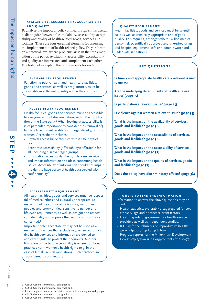**step**

**4**

### **availability, accessibility, acceptability and quality**

To analyse the impact of policy on health rights, it is useful to distinguish between the availability, accessibility, acceptability and quality of health-related goods, services and facilities. These are four essential elements for assessing the implementation of health-related policy. They indicate on a practical level where problems arise in the implementation of the policy. Availability, accessibility, acceptability and quality are interrelated and complement each other. The texts below explain the requirements for each.

### **availability requirement:**

Functioning public health and health-care facilities, goods and services, as well as programmes, must be available in sufficient quantity within the country.<sup>5</sup>

### **accessibility requirement:**

Health facilities, goods and services must be accessible to everyone without discrimination, within the jurisdiction of the State party.6 When looking at accessibility it is of particular importance to consider the (removal of) barriers faced by vulnerable and marginalized groups of women. Accessibility includes:

- Physical accessibility: facilities within safe physical reach,
- Economic accessibility (affordability): affordable for all, including disadvantaged groups,
- Information accessibility: the right to seek, receive and impart information and ideas concerning health issues. Accessibility of information should not impair the right to have personal health data treated with confidentiality.<sup>7</sup>

### **acceptability requirement:**

All health facilities, goods and services must be respectful of medical ethics and culturally appropriate, i.e. respectful of the culture of individuals, minorities, peoples and communities, sensitive to gender and life-cycle requirements, as well as designed to respect confidentiality and improve the health status of those concerned.8

Important note: Acceptability may not be used as an excuse for practices that exclude (e.g. when reproductive health services and information are denied to adolescent girls 'to protect their honour'). Another limitation of the term acceptability is where traditional practices harm women's health rights (e.g. in the case of female genital mutilation). Such practices are considered discriminatory.

### **quality requirement:**

Health facilities, goods and services must be scientifically as well as medically appropriate and of good quality. This requires, amongst others, skilled medical personnel, scientifically approved and unexpired drugs and hospital equipment, safe and potable water and adequate sanitation.<sup>9</sup>

## **key questions**

**Is timely and appropriate health care a relevant issue? (page 35)**

**Are the underlying determinants of health a relevant issue? (page 35)**

**Is participation a relevant issue? (page 35)**

**Is violence against women a relevant issue? (page 35)**

**What is the impact on the availability of services, goods and facilities? (page 36)**

**What is the impact on the accessibility of services, goods and facilities? (page 36)**

**What is the impact on the acceptability of services, goods and facilities? (page 37)**

**What is the impact on the quality of services, goods and facilities? (page 37)**

**Does the policy have discriminatory effects? (page 38)**

### **where to find the information**

Information to answer the above questions may be found in:

- Health statistics, preferably disaggregated for sex, ethnicity, age and or other relevant factors,
- Health reports of government or health service providers as well as independent studies,
- ICDP+5 for benchmarks on reproductive health: www.unfpa.org/icpd5/icpd5.htm
- Progress reports for the Millennium Development Goals: http://www.undg.org/content.cfm?cid=79

 $34$ 

- 5 ICESCR General Comment 14, paragraph 12
- 6 ICESCR General Comment 14, paragraph 12 b.
- 7 See step 1 question 9 for a checklist on vulnerable and marginalized groups.
- 8 ICESCR General Comment 14, paragraph 12 c.
- 9 ICESCR General Comment 14, paragraph 12 d.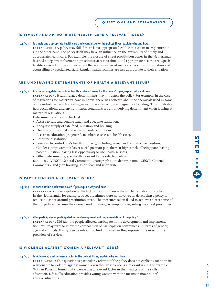### **Is timely and appropriate health care a relevant issue?**

#### s4/q1**Is timely and appropriate health care a relevant issue for the policy? If yes, explain why and how.**

explanation: A policy may fail if there is no appropriate health care system to implement it. On the other hand, the policy itself may have an influence on the availability of timely and appropriate health care. For example, the closure of street prostitution zones in the Netherlands has had a negative influence on prostitutes' access to timely and appropriate health care. Special facilities existed in these zones where the women received medical check-ups, information and counselling by specialized staff. Regular health facilities are less appropriate to their situation.

### **are underlying determinants of health a relevant issue?**

### s4/q2 **Are underlying determinants of health a relevant issue for the policy? If yes, explain why and how.**

explanation: Health-related determinants may influence the policy. For example, in the case of regulations for maternity leave in Kenya, there was concern about the chemicals used in some of the industries, which are dangerous for women who are pregnant or lactating. This illustrates how occupational and environmental conditions are an underlying determinant when looking at maternity regulations.

Determinants of health checklist:

- Access to safe and potable water and adequate sanitation,
- Adequate supply of safe food, nutrition and housing,
- Healthy occupational and environmental conditions,
- Access to education (in general, to enhance access to health care),
- Resource distribution,
- Freedom to control one's health and body, including sexual and reproductive freedom,
- Gender equity; women's lower social position puts them at higher risk of being poor, having poorer nutrition, having less opportunity to use health services,
- Other determinants, specifically relevant to the selected policy.

BASED ON ICESCR General Comment 14 paragraph 11 on determinants; ICESCR General Comments 4 and 7 on housing, 12 on food and 15 on water.

### **is participation a relevant issue?**

#### $s_{4}/\sqrt{3}$ **Is participation a relevant issue? If yes, explain why and how.**

explanation: Participation or the lack of it can influence the implementation of a policy. In the Netherlands, for example, street prostitutes were not involved in developing a policy to reduce nuisance around prostitution areas. The measures taken failed to achieve at least some of their objectives, because they were based on wrong assumptions regarding the street prostitutes.

### s4/q4 **Who participates or participated in the development and implementation of the policy?**

explanation: Did (do) the people affected participate in the development and implementation? You may want to know the composition of participation committees, in terms of gender, age and ethnicity. It may also be relevant to find out whether they represent the users or the providers of services.

### **is violence against women a relevant issue?**

#### $s_{4}/s_{5}$ **Is violence against women a factor in the policy? If yes, explain why and how.**

explanation: This question is particularly relevant if the policy does not explicitly mention its relationship to violence against women, even though violence is a relevant issue. For example, WPF in Pakistan found that violence was a relevant factor in their analysis of life skills education. Life skills education provides young women with the means to move out of abusive situations.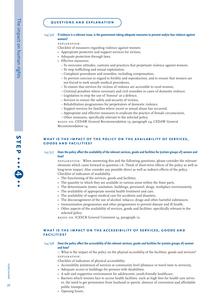#### s4/q6 **If violence is a relevant issue, is the government taking adequate measures to prevent and/or ban violence against women?**

#### explanation:

Checklist of measures regarding violence against women:

- Appropriate protective and support services for victims,
- Adequate protection through laws,
- Effective measures:
	- To overcome attitudes, customs and practices that perpetuate violence against women,
	- To stop trafficking and sexual exploitation,
	- Complaint procedures and remedies, including compensation,
	- To prevent coercion in regard to fertility and reproduction, and to ensure that women are not forced to seek unsafe medical procedures,
	- To ensure that services for victims of violence are accessible to rural women,
	- Criminal penalties where necessary and civil remedies in cases of domestic violence,
	- Legislation to stop the use of 'honour' as a defence,
	- Services to ensure the safety and security of victims,
	- Rehabilitation programmes for perpetrators of domestic violence,
	- Support services for families where incest or sexual abuse has occurred,
- Appropriate and effective measures to eradicate the practice of female circumcision,
- Other measures, specifically relevant to the selected policy.

based on: CEDAW General Recommendation 19, paragraph 24; CEDAW General Recommendation 14.

### **what is the impact of the policy on the availability of services, goods and facilities?**

#### s4/q7 **Does the policy affect the availability of the relevant services, goods and facilities for (certain groups of) women and how?**

explanation: When answering this and the following questions, please consider the relevant elements which came forward in question 1-6. Think of short-term effects of the policy as well as long-term impact. Also consider any possible direct as well as indirect effects of the policy. Checklist of indicators of availability:

- The functioning of the services, goods and facilities,
- The quantity in which they are available in various areas within the State party,
- The determinants (water, sanitation, buildings, personnel, drugs, workplace environment),
- The availability of appropriate mental health treatment and care,
- The availability of urgent medical care for accidents and disasters,
- The discouragement of the use of alcohol, tobacco, drugs and other harmful substances,
- Immunization programmes and other programmes to prevent disease and ill health,
- Other aspects of the availability of services, goods and facilities, specifically relevant to the selected policy.

BASED ON: ICESCR General Comment 14, paragraph 12.

### **what is the impact on the accessibility of services, goods and facilities?**

s4/q8 **Does the policy affect the accessibility of the relevant services, goods and facilities for (certain groups of) women and how?**

 $\Box$  What is the impact of the policy on the *physical accessibility* of the facilities, goods and services? explanation:

Checklist of indicators of physical accessibility:

- Accessibility (existence) of services at community level (distance or travel time to services),
- Adequate access to buildings for persons with disabilities,
- A safe and supportive environment for adolescents; youth-friendly healthcare,
- Barriers which women face to access health facilities, such as high fees for health care services, the need to get permission from husband or parent, absence of convenient and affordable public transport,

**step**

**4**

• Opening hours,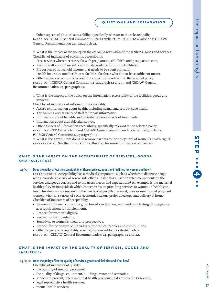• Other aspects of physical accessibility, specifically relevant to the selected policy. based on ICESCR General Comment 14, paragraphs 12, 21- 25; CEDAW article 12; CEDAW General Recommendation 24, paragraph 21.

 $\Box$  What is the impact of the policy on the *economic accessibility* of the facilities, goods and services? Checklist of indicators of economic accessibility:

- Free services where necessary for safe pregnancies, childbirth and post-partum care,
- Resource allocation (are sufficient funds available to run the facilities?),
- Proportion of household income that needs to be spent on health,
- Health insurance and health care facilities for those who do not have sufficient means,
- Other aspects of economic accessibility, specifically relevant to the selected policy.

BASED ON: ICESCR General Comment 14 paragraph 12 and 19 and CEDAW General Recommendation 24, paragraph 27.

 $\Box$  What is the impact of the policy on the information accessibility of the facilities, goods and services?

Checklist of indicators of information accessibility:

- Access to information about health, including sexual and reproductive health,
- The training and capacity of staff to impart information,
- Information about benefits and potential adverse effects of treatments,
- Information about available alternatives,
- Other aspects of information accessibility, specifically relevant to the selected policy.

BASED ON: CEDAW article 10 and CEDAW General Recommendation 24, paragraph 20; ICESCR General Comment 14, paragraph 12.

 $\Box$  What is the government doing to remove barriers to the enjoyment of women's health rights? EXPLANATION: See the introduction to this step for more information on barriers.

#### **what is the impact on the acceptability of services, goods and facilities?**

#### s4/q9 **Does the policy affect the acceptability of these services, goods and facilities for women and how?**

explanation: Acceptability has a medical component, such as whether to dispense drugs with a considerable risk of severe side effects. It also has a user-oriented component: do the services and goods correspond to the users' needs and expectations? An example is the maternal health policy in Bangladesh which concentrates on providing services to women in health centres. This does not correspond to the needs of especially the rural, poor or uneducated pregnant women, who for a variety of socio-economic reasons prefer checkups and delivery at home. Checklist of indicators of acceptability:

- Women's informed consent (e.g. no forced sterilization, no mandatory testing for pregnancy as a requirement for employment),
- Respect for women's dignity,
- Respect for confidentiality,
- Sensitivity to women's needs and perspectives,
- Respect for the culture of individuals, minorities, peoples and communities,
- Other aspects of acceptability, specifically relevant to the selected policy.

BASED ON: CEDAW General Recommendation 24, paragraphs 12 and 22.

### **what is the impact on the quality of services, goods and facilities?**

#### s4/q10 **Does the policy affect the quality of services, goods and facilities and if so, how?**

- Checklist of indicators of quality:
- the training of medical personnel,
- the quality of drugs, equipment, buildings, water and sanitation,
- services to prevent, detect and treat health problems that are specific to women,
- legal reproductive health services,
- mental health services,

# HOM/HerWAI<br>37 **HOM/HerWAI**  $37$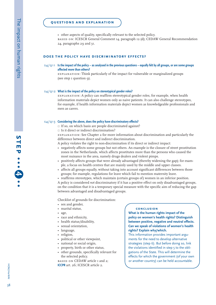• other aspects of quality, specifically relevant to the selected policy. based on: ICESCR General Comment 14, paragraph 12 (d); CEDAW General Recommendation 24, paragraphs 29 and 31.

#### **does the policy have discriminatory effects?**

#### s4/q11 **Is the impact of the policy – as analysed in the previous questions – equally felt by all groups, or are some groups affected more than others?**

explanation: Think particularly of the impact for vulnerable or marginalized groups (see step  $I$  question  $Q$ ).

#### s4/q12 **What is the impact of the policy on stereotypical gender roles?**

explanation: A policy can reaffirm stereotypical gender roles, for example, when health information materials depict women only as naive patients. It can also challenge stereotypes, for example, if health information materials depict women as knowledgeable professionals and men as carers.

#### s4/q13 **Considering the above, does the policy have discriminatory effects?**

- $\Box$  If so, on which basis are people discriminated against?
- $\Box$  Is it direct or indirect discrimination?

explanation: See Chapter 2 for more information about discrimination and particularly the difference between direct and indirect discrimination.

- A policy violates the right to non-discrimination if its direct or indirect impact:
- negatively affects some groups but not others. An example is the closure of street prostitution zones in the Netherlands, which affects prostitutes more than the persons who caused the most nuisance in the area, namely drugs dealers and violent pimps.
- positively affects groups that were already advantaged (thereby widening the gap); for example, a focus on health centres that are mainly used by the middle and upper classes.
- affects all groups equally, without taking into account significant differences between those groups; for example, regulations for leave which fail to mention maternity leave.
- reaffirms stereotypes, which maintain (certain groups of) women in an inferior position.

A policy is considered *not* discriminatory if it has a positive effect on only disadvantaged groups, on the condition that it is a temporary special measure with the specific aim of reducing the gap between advantaged and disadvantaged groups.

Checklist of grounds for discrimination:

- sex and gender,
- marital status,
- age,
- race and ethnicity,
- health status/disability,
- sexual orientation,
- language,
- religion,
- political or other viewpoint,
- national or social origin,
- property, birth or other status,
- other grounds, specifically relevant for the selected policy.

BASED ON CEDAW article I and 2; **ICCPR** art. 26; ICESCR article 2.

#### **conclusion**

**What is the human rights impact of the policy on women's health rights? Distinguish between positive, negative and neutral effects. Can we speak of violations of women's health rights? Explain why/which.**

This information provides important arguments for the need to develop alternative strategies (step 6). But before doing so, link the violations identified in step 5 to the obligations of the State. This will determine the effects for which the government (of your own or another country) can be held accountable.

**step**

**4**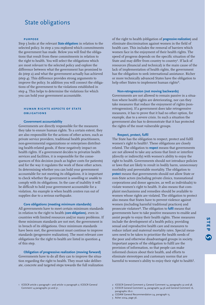# State obligations

#### **purpose**

Step 5 looks at the relevant **State obligations** in relation to the selected policy. In step 2 you explored which commitments the government has made. Below you will find the obligations that result from these commitments in relation to the right to health. You will select the obligations which are most relevant to the selected policy and explore the difference between what the government has promised to do (step 2) and what the government actually has achieved (step 4). This difference provides strong arguments to improve the policy. In addition you will connect the obligations of the government to the violations established in step 4. This helps to determine the violations for which you can hold your government accountable.

#### **human rights aspects of state obligations**

#### **Government accountability**

Governments are directly responsible for the measures they take to ensure human rights. To a certain extent, they are also responsible for the actions of other actors, such as private service providers, traditional health practitioners, non-governmental organizations or enterprises distributing health-related goods, if these negatively impact on health rights. If a government decides to privatize health services and facilities, it is responsible for the consequences of this decision (such as higher costs for patients) and for the way it regulates the work of these other actors. In determining whether you can hold your government accountable for not meeting its obligations, it is important to check whether the government is *unwilling* or *unable* to comply with its obligations. In the case of inability it will be difficult to hold your government accountable for a violation. An example is when health centres run out of supplies due to a serious earthquake.

**Core obligations (meeting minimum standards)** All governments have to meet certain minimum standards in relation to the right to health (**core obligations**), even in countries with limited resources and/or many problems. If these minimum standards are not met, the government is in breach of its obligations. Once minimum standards have been met, the government must continue to improve standards (progressive realization). The most relevant core obligations for the right to health are listed in question 4 of this step.

**Obligation of progressive realization (moving forward)** Governments have to do all they can to improve the situation regarding the right to health. They must take deliberate, concrete and targeted steps towards the full realization of the right to health (obligation of **progressive realization**) and eliminate discrimination against women in the field of health care. This includes the removal of barriers which women face in the enjoyment of their health rights. The speed of progress depends on the specific situation of the State and may differ from country to country<sup>1</sup>. If lack of resources (financial and technical) is the main cause of the lack of implementation of health rights, the government has the obligation to seek international assistance. Richer or more technically advanced States have the obligation to help other States to implement human rights<sup>2</sup>.

#### **Non-retrogression (not moving backwards)**

Governments are not allowed to remain passive in a situation where health rights are deteriorating, nor can they take measures that reduce the enjoyment of rights (nonretrogression). If a government does take retrogressive measures, it has to prove that it had no other option, for example, due to a severe crisis. In such a situation the government also has to demonstrate that it has protected the rights of the most vulnerable groups.

#### **Respect, protect, fulfil**

The State has the obligation to respect, protect and fulfil women's right to health<sup>3</sup>. These obligations are closely related. The obligation to **respect** means that governments are not allowed to take any actions that limit or interfere (directly or indirectly) with women's ability to enjoy the right to health. Governments should not introduce policies or laws that are likely to result in bodily harm, unnecessary morbidity and preventable mortality. The obligation to **protect** means that governments should not allow State or non-State actors (including private clinics, transnational corporations and donor agencies, as well as individuals) to violate women's right to health. It also means that complaint mechanisms and remedies should be available to women whose rights are violated. The obligation to protect also means that States have to prevent violence against women (including harmful traditional practices) and prosecute violators4. The obligation to **fulfil** means that governments have to take positive measures to enable and assist people to enjoy their health rights. These measures include the development of a health policy, providing sexual and reproductive health care and measures to reduce infant and maternal mortality rates. Special measures need to be taken to prioritize the health needs of the poor and otherwise disadvantaged groups in society. Important aspects of the obligation to fulfil are the provision of information, so that people can make informed choices about their health, and efforts to eliminate stereotypes and customary norms that are harmful to women's ability to enjoy their right to health<sup>5</sup>.

- 1 ICESCR article 2 paragraph 1 and article 12 paragraph 2; ICESCR General Comment 14 paragraphs 30 and 31.
- 2 ICESCR General Comment 3; General Comment 14, paragraphs 32 and 38. 3 ICESCR General Comment 14, paragraphs 34-36 and General Comment 16,
- paragraphs 18-21.
- 4 CEDAW General Recommendation 24, paragraph 15.
- 5 Asher 2004, page 36.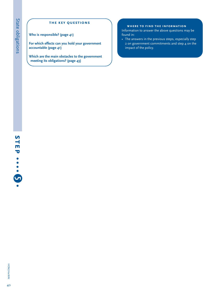## **the key questions**

**Who is responsible? (page 41)**

**For which effects can you hold your government accountable (page 41)**

**Which are the main obstacles to the government meeting its obligations? (page 43)**

### **where to find the information**

Information to answer the above questions may be found in:

• The answers in the previous steps, especially step 2 on government commitments and step 4 on the impact of the policy.

**HOM/HerWAI** HOM/HerWAI<br>40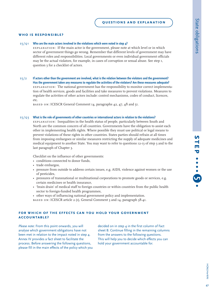#### **who is responsible?**

#### $S<sub>5</sub>/Q<sub>1</sub>$ **Who are the main actors involved in the violations which were noted in step 4?**

explanation: If the main actor is the government, please note at which level or in which sector of government things go wrong. Remember that different levels of government may have different roles and responsibilities. Local governments or even individual government officials may be the actual violators, for example, in cases of corruption or sexual abuse. See step 1, question 3 for a checklist of actors.

s5/2 **If actors other than the government are involved, what is the relation between the violators and the government? Has the government taken any measures to regulate the activities of the violators? Are these measures adequate?** explanation: The national government has the responsibility to monitor correct implementation of health services, goods and facilities and take measures to prevent violations. Measures to regulate the activities of other actors include: control mechanisms, codes of conduct, licences, etc.

BASED ON: ICESCR General Comment 14, paragraphs 42, 47, 48 and 51.

#### s5/q3 **What is the role of governments of other countries or international actors in relation to the violations?**

explanation: Inequalities in the health status of people, particularly between South and North are the common concern of all countries. Governments have the obligation to assist each other in implementing health rights. Where possible they must use political or legal means to prevent violations of these rights in other countries. States parties should refrain at all times from imposing embargoes or similar measures restricting the supply of adequate medicines and medical equipment to another State. You may want to refer to questions 12-13 of step 3 and to the last paragraph of Chapter 3.

Checklist on the influence of other governments:

- conditions connected to donor funds,
- trade embargos,
- pressure from outside to address certain issues, e.g. AIDS, violence against women or the use of pesticides,
- pressures of transnational or multinational corporations to promote goods or services, e.g. certain medicines or health insurance,
- 'brain drain' of medical staff to foreign countries or within countries from the public health sector to foreign-funded health programmes,
- other ways of influencing national government policy and implementation.
- based on: ICESCR article 2 (1), General Comment 3 and 14, paragraph 38-41.

### **for which of the effects can you hold your governmentaccountable?**

*Please note*: From this point onwards, you will analyse which government obligations have not been met in relation to the impact noted in step 4. Annex IV provides a fact sheet to facilitate the process. Before answering the following questions, please fill in the main effects of the policy which you decided on in step 4 in the first column of Fact sheet B. Continue filling in the remaining columns from the answers to the following questions. This will help you to decide which effects you can hold your government accountable for.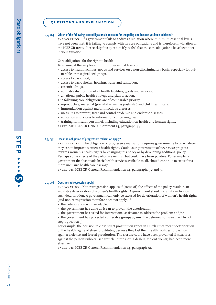### s5/q4 **Which of the following core obligations is relevant for the policy and has not yet been achieved?**

explanation: If a government fails to address a situation where minimum essential levels have not been met, it is failing to comply with its core obligations and is therefore in violation of the ICESCR treaty. Please skip this question if you feel that the core obligations have been met in your situation.

Core obligations for the right to health

To ensure, at the very least, minimum essential levels of:

- access to health facilities, goods and services on a non-discriminatory basis, especially for vulnerable or marginalized groups,
- access to basic food,
- access to basic shelter, housing, water and sanitation,
- essential drugs,
- equitable distribution of all health facilities, goods and services,
- a national public health strategy and plan of action.
- The following core obligations are of comparable priority:
- reproductive, maternal (prenatal as well as postnatal) and child health care,
- immunization against major infectious diseases,
- measures to prevent, treat and control epidemic and endemic diseases,
- education and access to information concerning health,
- training for health personnel, including education on health and human rights.
- based on: ICESCR General Comment 14, paragraph 43.

#### s5/q5**Does the obligation of progressive realization apply?**

explanation: The obligation of progressive realization requires governments to do whatever they can to improve women's health rights. Could your government achieve *more* progress towards women's health rights by changing this policy or by developing additional policy? Perhaps some effects of the policy are neutral, but could have been positive. For example, a government that has made basic health services available to all, should continue to strive for a more inclusive health care package.

BASED ON: ICESCR General Recommendation 14, paragraphs 30 and 31.

#### s5/q6 **Does non-retrogression apply?**

explanation: Non-retrogression applies if (some of) the effects of the policy result in an avoidable deterioration of women's health rights. A government should do all it can to avoid such deterioration. A government can only be excused for deterioration of women's health rights (and non-retrogression therefore does not apply) if:

- the deterioration is unavoidable,
- the government has done all it can to prevent the deterioration,
- the government has asked for international assistance to address the problem and/or

• the government has protected vulnerable groups against the deterioration (see checklist of step I question 3).

For example, the decision to close street prostitution zones in Dutch cities meant deterioration of the health rights of street prostitutes, because they lost their health facilities, protection against violence and forced prostitution. The closure could have been prevented if measures against the persons who caused trouble (pimps, drug dealers, violent clients) had been more effective.

BASED ON: ICESCR General Recommendation 14, paragraph 32.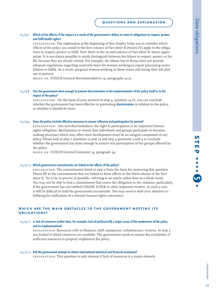#### s<sub>5</sub>/Q7 Which of the effects of the impact is a result of the government's failure to meet its obligations to respect, protect **and fulfil health rights?**

explanation: The explanation at the beginning of this chapter helps you to consider which effects of the policy you noted in the first column of Fact sheet B (Annex IV) apply to the obligations to respect, protect or fulfil. Note these in the second column of Fact sheet B, where appropriate. It is not always possible to neatly distinguish between the failure to respect, protect or fulfill, because they are closely related. For example, the labour law in Kenya does not provide adequate regulations regarding maternity leave for women working in export processing zones (failure to fulfil). As a result, pregnant women working in these zones risk losing their job (failure to protect).

BASED ON: ICESCR General Recommendation 14, paragraphs 33-37.

#### s5/q8 **Has the government done enough to prevent discrimination in the implementation of the policy itself or in the impact of the policy?**

explanation: On the basis of your answers to step 4, question 14-16, you can conclude whether the government has been effective in preventing **discrimination** in relation to the policy, or whether it should do more.

#### s5/q9 **Does the policy include effective measures to ensure influence and participation by women?**

explanation: Like non-discrimination, the right to participation is an important human rights obligation. Mechanisms to ensure that individuals and groups participate in decisionmaking processes which may affect their development must be an integral component of any policy. Please look at step 2 questions 13 and 14 and step 4 questions 3 and 4 to conclude whether the government has done enough to ensure real participation of the groups affected by the policy.

BASED ON: ICESCR General Comment 14, paragraph 54.

#### s5/q10 **Which government commitments are linked to the effects of the policy?**

explanation: The commitments listed in step 2 form the basis for answering this question. Please fill in the commitments that are linked to these effects in the third column of the Fact sheet B. Try to be as precise as possible, referring to an article rather than to a whole treaty. You may not be able to find a commitment that covers the obligation or the violation, particularly if the government has not ratified CEDAW, ICESR or other important treaties. In such a case, it will be difficult to hold the government accountable. You may need to shift your attention to lobbying for ratification of a relevant human rights convention.

### **which are the main obstacles to the government meeting its obligations?**

#### s5/q11 **Is lack of resources (rather than, for example, lack of political will) a major cause of the weaknesses of the policy and its implementation?**

explanation: Resources refer to finances, staff, equipment, infrastructure, etcetera. In step 3 you looked at which resources are available. The government needs to ensure the availability of sufficient resources to properly implement the policy.

#### s5/q12 **Did the government attempt to obtain international technical and financial assistance?**

explanation: This question is only relevant if lack of resources is a major obstacle.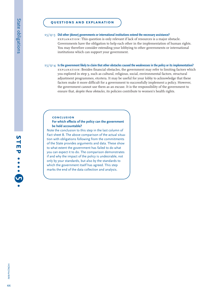#### s5/q13 **Did other (donor) governments or international institutions extend the necessary assistance?**

explanation: This question is only relevant if lack of resources is a major obstacle. Governments have the obligation to help each other in the implementation of human rights. You may therefore consider extending your lobbying to other governments or international institutions which can support your government.

#### s5/q14 **Is the government likely to claim that other obstacles caused the weaknesses in the policy or its implementation?**

explanation: Besides financial obstacles, the government may refer to limiting factors which you explored in step 3, such as cultural, religious, social, environmental factors, structural adjustment programmes, etcetera. It may be useful for your lobby to acknowledge that these factors make it more difficult for a government to successfully implement a policy. However, the government cannot use them as an excuse. It is the responsibility of the government to ensure that, *despite these obstacles,* its policies contribute to women's health rights.

#### **conclusion**

#### **For which effects of the policy can the government be held accountable?**

Note the conclusion to this step in the last column of Fact sheet B. The above comparison of the actual situation with obligations following from the commitments of the State provides arguments and data. These show to what extent the government has failed to do what you can expect it to do. The comparison demonstrates if and why the impact of the policy is undesirable, not only by your standards, but also by the standards to which the government itself has agreed. This step marks the end of the data collection and analysis.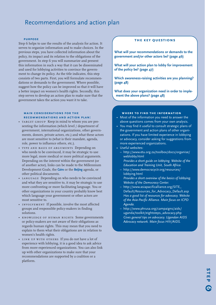# Recommendations and action plan

#### **purpose**

Step 6 helps to use the results of the analysis for action. It serves to organize information and to make choices. In the previous steps, you have collected information about the policy, its impact and its relation to the obligations of the government. In step 6 you will summarize and present this information in such a way that it can be disseminated and used for lobbying activities to convince the government to change its policy. As the title indicates, this step consists of two parts. First, you will formulate recommendations or demands to the government. Where possible, suggest how the policy can be improved so that it will have a better impact on women's health rights. Secondly, this step serves to develop an action plan to make sure that the government takes the action you want it to take.

#### **main considerations for the recommendations and action plan:**

- TARGET GROUP Keep in mind to whom you are presenting the information (which level / department of government, international organizations, other governments, donors, private actors, etc.) and what these actors are most sensitive to (what is their mandate, agenda, role, power to influence others, etc.).
- type and basis of arguments Depending on who needs to be convinced, it may be strategic to use more legal, more medical or more political arguments. Depending on the interest within the government (or of another actor), links can be made to the Millennium Development Goals, the **Cairo** or the **Beijing** agenda, or other political documents.
- •LANGUAGE Depending on who needs to be convinced and what they are sensitive to, it may be strategic to use more confronting or more facilitating language. You or other organizations in your country probably know best which language your government or other actors are most sensitive to.
- involvement If possible, involve the most affected groups and responsible policy-makers in finding solutions.
- • knowledge of human rights Some governments or policy-makers are not aware of their obligations as regards human rights. This may mean that you need to explain to them what their obligations are in relation to women's health rights.
- • link up with others If you do not have a lot of experience with lobbying, it is a good idea to ask advice from more experienced organizations. You can also link up with other organizations to make sure that your recommendations are supported by a coalition or a platform.

### **the key questions**

**What will your recommendations or demands to the government and/or other actors be? (page 46)**

**What will your action plan to lobby for improvement of the policy be? (page 47)**

**Which awareness-raising activities are you planning? (page 48)**

**What does your organization need in order to implement the above plans? (page 48)**

#### **where to find the information**

- Most of the information you need to answer the above questions comes from your own analysis.
- You may find it useful to consult strategic plans of the government and action plans of other organizations. If you have limited experience in lobbying or advocacy, consider asking for suggestions from more experienced organizations.
- Useful websites:
	- http://www.etu.org.za/toolbox/docs/organise/ weblobby.html
	- *Provides a short guide on lobbying. Website of the Education and Training Unit, South Africa.*
	- http://www.democracyctr.org/resources/ lobbying.html *Provides a short overview of the basics of lobbying. Website of the Democracy Center.*
	- http://www.asiapacificalliance.org/SITE\_ Default/Resources\_for\_Advocacy\_Default.asp *Has a good list of resources for advocacy. Website of the Asia-Pacific Alliance. Main focus on ICPD Agenda.*
	- http://www.phrusa.org/campaigns/aids/ uganda/toolkit/eightsteps\_advocacy.php *Gives general tips on advocacy. Ugandan AIDS Advocacy network. Main focus HIV/AIDS.*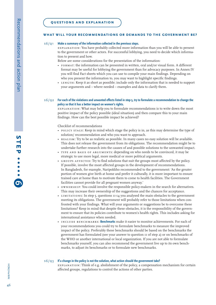#### **what will your recommendations or demands to the government be?**

#### s6/q1 **Make a summary of the information collected in the previous steps.**

explanation: You have probably collected more information than you will be able to present to the government or other actors. For successful lobbying, you need to decide which information to present and how.

Below are some considerations for the presentation of the information:

- FORMAT: the information can be presented in written, oral and/or visual form. A different format may be useful for lobbying the government than for advocacy purposes. In Annex IV you will find Fact sheets which you can use to compile your main findings. Depending on who you present the information to, you may want to highlight specific findings.
- LENGTH: Keep it as short as possible; include only the information that is needed to support your arguments and – where needed – examples and data to clarify them.

#### s6/q2 **For each of the violations and unwanted effects listed in step 5, try to formulate a recommendation to change the policy so that it has a better impact on women's rights.**

explanation: What may help you to formulate recommendations is to write down the most positive impact of the policy possible (ideal situation) and then compare this to your main findings. How can the best possible impact be achieved?

Checklist of recommendations

- policy stage: Keep in mind which stage the policy is in, as this may determine the type of solution/ recommendation and who you want to approach.
- REALISM: Try to be as realistic as possible. In many cases no easy solution will be available. This does not release the government from its obligations. The recommendation might be to undertake further research into the causes of and possible solutions to the unwanted impact.
- TYPE AND BASIS OF ARGUMENTS: depending on who needs to be convinced, it may be strategic to use more legal, more medical or more political arguments.
- groups affected: Try to find solutions that suit the groups most affected by the policy. If possible, involve the most affected groups in the development of recommendations. In Bangladesh, for example, Naripokkho recommended to the government: 'As the greater portion of women give birth at home and prefer it culturally, it is more important to ensure trained care at home than to motivate them to come to health facilities. The Government facilities cannot provide for all pregnant women anyway.'
- • ownership: You could involve the responsible policy-makers in the search for alternatives. This may increase their ownership of the suggestions and the chances for acceptance.
- LIMITATIONS: In step 5, questions II-14 you analysed the main obstacles to the government meeting its obligations. The government will probably refer to those limitations when confronted with your findings. What will your arguments or suggestions be to overcome these limitations? Keep in mind that despite these obstacles, it is the responsibility of the government to ensure that its policies contribute to women's health rights. This includes asking for international assistance when needed.
- • include benchmarks: **Benchmarks** make it easier to monitor achievements. For each of your recommendations you could try to formulate benchmarks to measure the improved impact of the policy. Preferably these benchmarks should be based on the benchmarks the government has formulated (see your answer to question 11 of step 2) or on benchmarks of the WHO or another international or local organization. If you are not able to formulate benchmarks yourself, you can also recommend the government live up to its own benchmarks, to adjust its benchmarks or to formulate new benchmarks.

#### $s6/03$ **If a change in the policy is not the solution, what action should the government take?**

explanation: Think of e.g. abolishment of the policy, a compensation mechanism for certain affected groups, regulations to control the actions of other parties.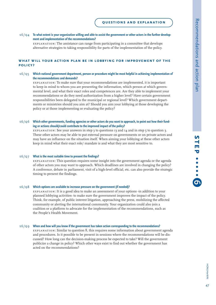#### s6/Q4 To what extent is your organization willing and able to assist the government or other actors in the further develop**ment and implementation of the recommendations?**

explanation: The assistance can range from participating in a committee that develops alternative strategies to taking responsibility for parts of the implementation of the policy.

### **what will your action plan be in lobbying for improvement of the policy?**

#### $s6/95$  **Which national government department, person or procedure might be most helpful in achieving implementation of the recommendations and demands?**

explanation: To make sure that your recommendations are implemented, it is important to keep in mind to whom you are presenting the information, which person at which governmental level, and what their exact roles and competences are. Are they able to implement your recommendations or do they need authorization from a higher level? Have certain government responsibilities been delegated to the municipal or regional level? Which government departments or ministries should you aim at? Should you aim your lobbying at those developing the policy or at those implementing or evaluating the policy?

#### s6/Q6 Which other governments, funding agencies or other actors do you want to approach, to point out how their fund**ing or actions should/could contribute to the improved impact of the policy?**

EXPLANATION: See your answers in step 3 to questions  $13$  and  $14$  and in step 5 to question 3. These other actors may be able to put external pressure on governments or on private actors and may have an influence on the situation itself. When aiming your lobbying at these other actors keep in mind what their exact role/ mandate is and what they are most sensitive to.

#### s6/q7 **What is the most suitable time to present the findings?**

explanation: This question requires some insight into the government agenda or the agenda of other actors you may want to approach. Which deadlines are involved in changing the policy? A conference, debate in parliament, visit of a high-level official, etc. can also provide the strategic timing to present the findings.

#### s6/ $Q8$  Which options are available to increase pressure on the government (if needed)?

explanation: It is a good idea to make an assessment of your options -in addition to your planned lobbying activities- to make sure the government improves the impact of the policy. Think, for example, of public interest litigation, approaching the press, mobilizing the affected community or alerting the international community. Your organization could also join a coalition or a platform to advocate for the implementation of the recommendations, such as the People's Health Movement.

#### s6/q9 **When and how will you know if the government has taken action corresponding to the recommendations?**

explanation: Similar to question 8, this requires some information about government agenda and procedures. Is it possible to be present in sessions where the recommendations will be discussed? How long can the decision-making process be expected to take? Will the government publicize a change in policy? Which other ways exist to find out whether the government has acted on the recommendations?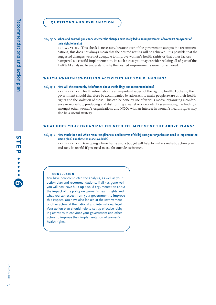#### s6/q10 **When and how will you check whether the changes have really led to an improvement of women's enjoyment of their right to health?**

explanation: This check is necessary, because even if the government accepts the recommendations, this does not always mean that the desired results will be achieved. It is possible that the suggested changes were not adequate to improve women's health rights or that other factors hampered successful implementation. In such a case you may consider redoing all of part of the HeRWAI analysis, to understand why the desired improvements were not achieved.

#### **which awareness-raising activities are you planning?**

#### s6/q11 **How will the community be informed about the findings and recommendations?**

explanation: Health information is an important aspect of the right to health. Lobbying the government should therefore be accompanied by advocacy, to make people aware of their health rights and the violation of these. This can be done by use of various media, organizing a conference or workshop, producing and distributing a leaflet or video, etc. Disseminating the findings amongst other women's organizations and NGOs with an interest in women's health rights may also be a useful strategy.

#### **what does your organization need to implement the above plans?**

#### s6/q12 **How much time and which resources (financial and in terms of skills) does your organization need to implement the action plan? Can these be made available?**

explanation: Developing a time frame and a budget will help to make a realistic action plan and may be useful if you need to ask for outside assistance.

#### **conclusion**

You have now completed the analysis, as well as your action plan and recommendations. If all has gone well you will now have built up a solid argumentation about the impact of the policy on women's health rights and what you can expect from your government to improve this impact. You have also looked at the involvement of other actors at the national and international level. Your action plan should help to set up effective lobbying activities to convince your government and other actors to improve their implementation of women's health rights.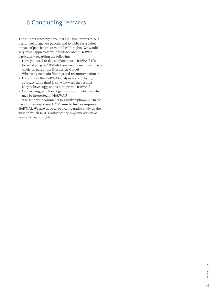# 6 Concluding remarks

The authors sincerely hope that HeRWAI proves to be a useful tool to analyse policies and to lobby for a better impact of policies on women's health rights. We would very much appreciate your feedback about HeRWAI, particularly regarding the following:

- Have you used or do you plan to use HeRWAI? If so, for what purpose? Will/did you use the instrument as a whole, in part or the Discussion Guide?
- What are your main findings and recommendations?
- Did you use the HeRWAI analysis for a lobbying/ advocacy campaign? If so, what were the results?
- Do you have suggestions to improve HeRWAI?
- Can you suggest other organizations or networks which may be interested in HeRWAI?

Please send your comments to s.bakker@hom.nl. On the basis of the responses, HOM aims to further improve HeRWAI. We also hope to do a comparative study on the ways in which NGOs influence the implementation of women's health rights.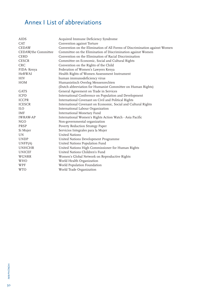# Annex I List of abbreviations

| AIDS                | Acquired Immune Deficiency Syndrome                                        |
|---------------------|----------------------------------------------------------------------------|
| <b>CAT</b>          | Convention against Torture                                                 |
| <b>CEDAW</b>        | Convention on the Elimination of All Forms of Discrimination against Women |
| CEDAW/the Committee | Committee on the Elimination of Discrimination against Women               |
| <b>CERD</b>         | Convention on the Elimination of Racial Discrimination                     |
| <b>CESCR</b>        | Committee on Economic, Social and Cultural Rights                          |
| <b>CRC</b>          | Convention on the Rights of the Child                                      |
| FIDA-Kenya          | Federation of Women's Lawyers Kenya                                        |
| <b>HeRWAI</b>       | Health Rights of Women Assessment Instrument                               |
| <b>HIV</b>          | human immunodeficiency virus                                               |
| <b>HOM</b>          | Humanistisch Overleg Mensenrechten                                         |
|                     | (Dutch abbreviation for Humanist Committee on Human Rights)                |
| GATS                | General Agreement on Trade in Services                                     |
| <b>ICPD</b>         | International Conference on Population and Development                     |
| <b>ICCPR</b>        | International Covenant on Civil and Political Rights                       |
| <b>ICESCR</b>       | International Covenant on Economic, Social and Cultural Rights             |
| <b>ILO</b>          | International Labour Organization                                          |
| <b>IMF</b>          | International Monetary Fund                                                |
| <b>IWRAW-AP</b>     | International Women's Rights Action Watch - Asia Pacific                   |
| <b>NGO</b>          | Non-governmental organization                                              |
| PRSP                | Poverty Reduction Strategy Paper                                           |
| Si Mujer            | Servicios Integrales para la Mujer                                         |
| UN.                 | <b>United Nations</b>                                                      |
| <b>UNDP</b>         | United Nations Development Programme                                       |
| UNFP(A)             | United Nations Population Fund                                             |
| <b>UNHCHR</b>       | United Nations High Commissioner for Human Rights                          |
| <b>UNICEF</b>       | United Nations Children's Fund                                             |
| WGNRR               | Women's Global Network on Reproductive Rights                              |
| WHO                 | World Health Organization                                                  |
| WPF                 | World Population Foundation                                                |
| <b>WTO</b>          | World Trade Organization                                                   |
|                     |                                                                            |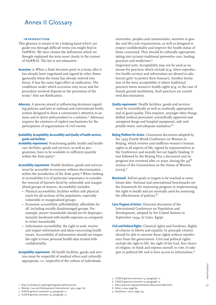# Annex II Glossary

#### **introduction**

- This glossary is meant to be a helping hand which can guide you through difficult terms you might find in HeRWAI. We have chosen the definitions which we thought explained the term most clearly in the context of HeRWAI. The list is not exhaustive.
- **Accession**: is When a State becomes party to a treaty after it has already been negotiated and signed by other States (generally when the treaty has already entered into force). It has the same legal effect as ratification. The conditions under which accession may occur and the procedure involved depend on the provisions of the treaty.<sup>1</sup> Also see Ratification.
- **Advocacy**: A process aimed at influencing decisions regarding policies and laws at national and international levels; actions designed to draw a community's attention to an issue and to direct policymakers to a solution.<sup>2</sup> Advocacy requires the existence of explicit mechanisms for the participation of organizations of civil society.

#### **Availability, Acceptability, Accessibility and Quality of health services goods and facilities**

- **Availability requirement:** Functioning public health and healthcare facilities, goods and services, as well as programmes, have to be available in sufficient quantity within the State party.<sup>3</sup>
- **Accessibility requirement**: Health facilities, goods and services must be accessible to everyone without discrimination, within the jurisdiction of the State party.<sup>4</sup> When looking at accessibility it is of particular importance to consider the removal of barriers faced by vulnerable and marginalized groups of women. Accessibility includes:
	- Physical accessibility: facilities within safe physical reach for all sections of the population, especially vulnerable or marginalized groups.
	- Economic accessibility (affordability): affordable for all, including socially disadvantaged groups. For example, poorer households should not be disproportionately burdened with health expenses as compared to richer households.
	- Information accessibility: the right to seek, receive and impart information and ideas concerning health issues. Accessibility of information should not impair the right to have personal health data treated with confidentiality.
- **Acceptability requirement**: All health facilities, goods and services must be respectful of medical ethics and culturally appropriate, i.e. respectful of the culture of individuals,

minorities, peoples and communities, sensitive to gender and life-cycle requirements, as well as designed to respect confidentiality and improve the health status of those concerned. They should be culturally appropriate, taking into account traditional preventive care, healing practices and medicines.5

Important note: Acceptability may not be used as an excuse for practices which exclude (e.g. when reproductive health services and information are denied to adolescent girls 'to protect their honour'). Another limitation of the term acceptability is where traditional practices harm women's health rights (e.g. in the case of female genital mutilation). Such practices are considered discriminatory.

- **Quality requirement**: Health facilities, goods and services must be scientifically as well as medically appropriate and of good quality. This requires, amongst other things skilled medical personnel, scientifically approved and unexpired drugs and hospital equipment, safe and potable water, and adequate sanitation.<sup>6</sup>
- **Beijing Platform for Action**: Consensus document adopted by the 1995 Fourth World Conference on Women in Beijing, which reviews and reaffirms women's human rights in all aspects of life; signed by representatives at the Conference and morally but not legally binding. It was followed by the Beijing Plus 5 document and its progress was reviewed after 10 years, during the  $49^{\text{th}}$ session of the Commission on the Status of Women  $(2005).7$
- **Benchmark**: Self-set goals or targets to be reached at some future date. National and international benchmarks are the framework for measuring progress in implementing the right to health and are normally used for assessing the effectiveness of policies.<sup>8</sup>
- **Cairo Program of Action**: Outcome document of the International Conference on Population and Development, adopted by the United Nations in September 1994, in Cairo, Egypt.
- **Civil and Political Rights**: Classical rights and freedoms. Rights of citizens to liberty and equality. In principle citizens should be able to exercise these rights without interference from the government. Civil and political rights include the right to life, the right of fair trial, free choice of religion, to think and express oneself, to vote, to take part in political life and to have access to information.9

- 2 Women, Law and Development International, 1997, page 163.
- 3 ICESCR general comment 14, paragraph 12.
- 4 ICESCR general comment 14, paragraph 12.
- 5 ICESCR general comment 14, paragraph 12.
- 6 ICESCR general comment 14, paragraph 12.
- 7 http://www.un.org/womenwatch/daw/csw/index.html.

8 Asher, 2004, page 89.

9 Kooijmans, 2000, page 255.

HOM/HerWAIHOM/HerWAI

<sup>1</sup> http://untreaty.un.org/English/guide.asp#accession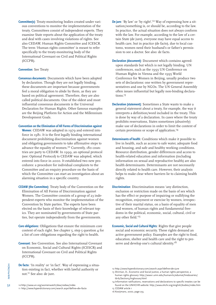**Committee(s)**: Treaty-monitoring bodies created under various conventions to monitor the implementation of the treaty. Committees consist of independent experts. They examine State reports about the application of the treaty and deal with cases involving violations of rights. See also CEDAW, Human Rights Committee and ICESCR. The term 'Human rights committee' is meant to refer specifically to the treaty-monitoring body of the International Covenant on Civil and Political Rights (ICCPR).

#### **Convention**: See Treaty

- **Consensus documents**: Documents which have been adopted by declaration. Though they are not legally binding, these documents are important because governments feel a moral obligation to abide by them, as they are based on political agreement. Therefore, they are also called political documents. One of the oldest and most influential consensus documents is the Universal Declaration for Human Rights. Other famous examples are the Beijing Platform for Action and the Millennium Development Goals.
- **Convention on the Elimination of All Forms of Discrimination against**

**Women**: CEDAW was adopted in 1979 and entered into force in 1981. It is the first legally binding international document prohibiting discrimination against women and obligating governments to take affirmative steps to advance the equality of women.<sup>10</sup> Currently, 180 countries are party to CEDAW. In 1999, an optional protocol (see: Optional Protocol) to CEDAW was adopted, which entered into force in 2000. It established two new procedures: a procedure for individual complaints to the Committee and an enquiry procedure on the basis of which the Committee can start an investigation about an alarming situation in a specific country.

- **CEDAW (the Committee)**: Treaty body of the Convention on the Elimination of All Forms of Discrimination against Women. The Committee consists of a group of 23 independent experts who monitor the implementation of the Convention by State parties. The experts have been elected on the basis of their knowledge of relevant topics. They are nominated by governments of State parties, but operate independently from the governments.
- **Core obligations**: Obligations that ensure the minimum core content of each right. See chapter 5, step 5 question 4 for a list of core obligations regarding the right to health.
- **Covenant**: See Convention. See also International Covenant on Economic, Social and Cultural Rights (ICESCR) and International Covenant on Civil and Political Rights (ICCPR).
- **De facto**: 'In reality' or 'in fact'. Way of expressing a situation existing in fact, whether with lawful authority or not.11 See also: de jure.
- 10 http://www.un.org/womenwatch/daw/cedaw/index
- 11 http://www.hyperdictionary.com/search.aspx?define=de+facto
- **De jure**: 'By law' or 'by right'.<sup>12</sup> Way of expressing how a situation/something is, or should be, according to the law. In practice, the actual situation does not always conform with the law. For example, according to the law of a certain State (de jure), everyone may have equal access to health care, but in practice (de facto), due to local customs, women need their husband's or father's permission to see a doctor. See also: de facto.
- **Declaration (document)**: Document which contains agreedupon standards but which is not legally binding. UN conferences, such as the 1993 UN Conference on Human Rights in Vienna and the 1995 World Conference for Women in Beijing, usually produce two sets of declarations: one written by government representatives and one by NGOs. The UN General Assembly often issues influential but legally non-binding declarations.<sup>13</sup>
- **Declaration (statement)**: Sometimes a State wants to make a general statement about a treaty, for example, the way it interprets a definition/word included in the treaty. This is done by way of a declaration. In cases where the treaty prohibits reservations, States sometimes (abusively) make use of declarations in order to limit the content of certain provisions or scope of application.14
- **Determinants of health**: Conditions which make it possible to live in health, such as access to safe water, adequate food and housing, and safe and healthy working conditions. Resource distribution, gender differences and access to health-related education and information (including information on sexual and reproductive health) are also health determinants. Determinants are not necessarily directly related to health care. However, their analysis helps to make clear where barriers lie to claiming health rights.
- **Discrimination**: Discrimination means 'any distinction, exclusion or restriction made on the basis of sex which has the effect or purpose of impairing or nullifying the recognition, enjoyment or exercise by women, irrespective of their marital status, on a basis of equality of men and women, of human rights and fundamental freedoms in the political, economic, social, cultural, civil or any other field.'<sup>15</sup>
- **Economic, Social and Cultural Rights**: Rights that give people social and economic security. These rights demand an active government policy. Examples are the right to food, education, shelter and health care and the right to preserve and develop one's cultural identity.<sup>16</sup>
- 12 http://www.hyperdictionary.com/search.aspx?define=de+jure
- 13 Shirman, D., Economic and Social Justice, a human rights perspective, a human rights glossary: http://www1.umn.edu/humanrts/edumat/hreduseries/ tb1b/Section3/hrglossary.html
- 14 Information ratifications, reservations and declarations to specific treaties can be found on the UNHCHR website: http://www.ohchr.org/english/bodies/index.htm
- 15 CEDAW article 1
- 16 Kooijmans, 2000, page 255.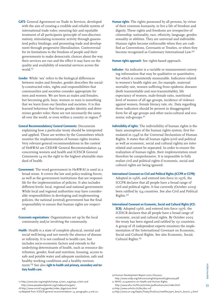- **GATS**: General Agreement on Trade in Services, developed with the aim of creating a credible and reliable system of international trade rules; ensuring fair and equitable treatment of all participants (principle of non-discrimination); stimulating economic activity through guaranteed policy bindings; and promoting trade and development through progressive liberalization. Controversial for its limitations to the freedom of people and their governments to make democratic choices about the way their services are run and the effect it may have on the quality and availability of essential services across the world.17
- **Gender**: While 'sex' refers to the biological differences between males and females, gender describes the socially-constructed roles, rights and responsibilities that communities and societies consider appropriate for men and women. We are born as males and females, but becoming girls, boys, women or men is something that we learn from our families and societies. It is this learned behaviour that forms gender identity and determines gender roles; these are not necessarily the same all over the world, or even within a country or region.<sup>18</sup>
- **General Recommendations/ General Comments**: Documents explaining how a particular treaty should be interpreted and applied. These are written by the Committees which monitor the implementation of human rights treaties. Very relevant general recommendations in the context of HeRWAI are CEDAW General Recommendation 24 concerning women and health and ICESCR General Comments 14 on the right to the highest attainable standard of health.
- **Government**: The word government in HeRWAI is used in a broad sense. It covers the law and policy-making forces, as well as the government institutions that are responsible for the implementation of policies. It also includes different levels: local, regional and national government. While local and regional authorities may have considerable responsibilities in developing and implementing policies, the national (central) government has the final responsibility to ensure that human rights are respected.
- **Grassroots organizations**: Organizations set up by the local community and/or involving the community.
- **Health**: Health is a state of complete physical, mental and social well-being and not merely the absence of disease or infirmity. It is not confined to health care, but includes socio-economic factors and extends to the underlying determinants of health, such as resource distribution, gender, food and nutrition, housing, access to safe and potable water and adequate sanitation, safe and healthy working conditions and a healthy environment.<sup>19</sup> See also **right to health and primary, secondary and tertiary health care.**

**Human rights**: The rights possessed by all persons, by virtue of their common humanity, to live a life of freedom and dignity. These rights and freedoms are irrespective of citizenship, nationality, race, ethnicity, language, gender, sexuality or abilities. They are universal and indivisible. Human rights become enforceable when they are codified as Conventions, Covenants or Treaties, or when they become recognized as Customary International Law.20

**Human rights approach**: See rights-based approach.

- **Indicator**: An indicator is a variable or measurement conveying information that may be qualitative or quantitative, but which is consistently measurable. Indicators related to women's health rights are, for example, maternal mortality rate, women suffering from epidemic diseases (both transmittable and non-transmittable), life expectancy of women, male-female ratio, nutritional level of women of all age groups, incidence of violence against women, female literacy rate, etc. Data regarding these indicators should be present in disaggregated form for all age groups and other socio-cultural and economic sub-groups.21
- **Indivisibility of rights**: The indivisibility of human rights is the basic assumption of the human rights system, first formulated in 1948 in the Universal Declaration of Human Rights. It states that all human rights (civil and political as well as economic, social and cultural rights) are interrelated and cannot be separated. In order to ensure the realization of human rights, their implementation must therefore be comprehensive. It is impossible to fully realize civil and political rights if economic, social and cultural rights are being ignored.

#### **International Covenant on Civil and Political Rights (ICCPR or CCPR)**:

Adopted in 1966, and entered into force in 1976, the ICCPR declares that all people have a broad range of civil and political rights. It has currently (October 2005) been ratified by 154 countries. See also Civil and Political Rights.<sup>22</sup>

#### **International Covenant on Economic, Social and Cultural Rights (ICE-**

**SCR)**: Adopted 1966, and entered into force 1976, the ICESCR declares that all people have a broad range of economic, social and cultural rights. By October 2005 the treaty has been signed and ratified by 151 countries. A group of 18 independent experts monitors the implementation of the International Covenant on Economic, Social and Cultural Rights. See also Economic, Social, Cultural Rights.<sup>23</sup>

20Human Development Report 2000 Glossary: http://www.undp.org/hdr2000/english/presskit/glossary.pdf

http://www.who.int/hhr/activities/publications/en/index.html 22 http://www.unhchr.ch/tbs/doc.nsf

23 http://www.un.org/Depts/Treaty/final/ts2/newfiles/part\_boo/iv\_boo/iv\_3.html

<sup>17</sup> http://www.wto.org/english/tratop\_e/serv\_e/gatsqa\_e.htm and http://www.peopleandplanet.org/tradejustice/gats/

<sup>18</sup> http://www.unicef.org/gender/index\_bigpicture.html

<sup>19</sup> Adapted from ICESCR general recommendation 14, paragraphs 4 and 20.

<sup>21</sup> WHO, 25 questions on Health and Human Rights,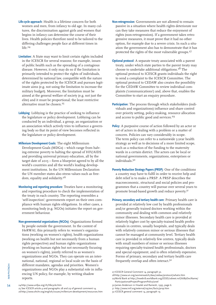- **Life-cycle approach**: Health is a lifetime concern for both women and men, from infancy to old age. In many cultures, the discrimination against girls and women that begins in infancy can determine the course of their lives. Health policies therefore need to be tailored to the differing challenges people face at different times in life.<sup>24</sup>
- **Limitation**: A State may want to limit certain rights included in the ICESCR for several reasons; for example, issues of public health such as the spreading of a contagious disease. However, it only may do so if the limitation is primarily intended to protect the rights of individuals, determined by national law, compatible with the nature of the rights protected by the ICESCR and pursues legitimate aims (e.g. not using the limitation to increase the military budget). Moreover, the limitation must be aimed at the general welfare of society (e.g. not just the elite) and it must be proportional; the least restrictive alternative must be chosen.25
- **Lobbying**: Lobbying is the practice of seeking to influence the legislature or policy development. Lobbying can be conducted by an individual, a group, an organization or an association which actively tries to influence a governing body so that its point of view becomes reflected in the legislature or policy development.
- **Millenium Development Goals**: The eight Millennium Development Goals (MDGs) – which range from halving extreme poverty to halting the spread of HIV/AIDS and providing universal primary education, all by the target date of 2015 – form a blueprint agreed to by all the world's countries and all the world's leading development institutions. In the UN Millennium Declaration the UN member states also stress values such as freedom, equality and solidarity.<sup>26</sup>
- **Monitoring and reporting procedure**: Treaties have a monitoring and reporting procedure to check the implementation of the treaty in each country. The reporting resembles a 'self-inspection'; governments report on their own compliance with human rights obligations. In other cases, a monitoring body (e.g. NGOs) initiates the report on government behaviour.
- **Non-governmental organizations (NGOs)**: Organizations formed by people outside the government. In the context of HeRWAI, this primarily refers to: women's organizations (working on women's rights), health organizations (working on health but not necessarily from a human rights perspective) and human rights organizations (working on human rights but not necessarily focusing on women's rights), jointly referred to as women's organizations and NGOs. They can operate on an international, national, regional or local scale on the basis of different mandates, agendas and priorities. Women's organizations and NGOs play a substantial role in influencing UN policy, for example, by writing shadow reports.
- 24http://www.unfpa.org/rh/lifecycle.htm
	- 25 See ICESCR article 4 and paragraphs 28 and 29 of general comment 14. 26http://www.ohchr.org/english/issues/millenium-development/resources.htm
- **Non-retrogression**: Governments are not allowed to remain passive in a situation where health rights deteriorate nor can they take measures that reduce the enjoyment of rights (non-retrogression). If a government takes retrogressive measures, it must prove that it had no other option, for example due to a severe crisis. In such a situation the government also has to demonstrate that it has protected the rights of the most vulnerable groups.27
- **Optional protocol**: A separate treaty associated with a parent treaty, under which state parties to the parent treaty may choose to undertake additional obligations.28 The optional protocol to ICESCR grants individuals the right to send a complaint to the ICESCR Committee. The optional protocol to CEDAW also creates the possibility for the CEDAW Committee to review individual complaints ('communications') and, above that, enables the Committee to start an enquiry procedure.
- **Participation**: The process through which stakeholders (individuals and organizations) influence and share control over priority setting, policy-making, resource allocation and access to public good and services.29
- **Policy:** A purposive course of action followed by an actor or set of actors in dealing with a problem or a matter of concern. Policies can vary considerably in scope. The term policy can refer to a nationwide 5-year health strategy as well as to decisions of a more limited scope, such as a reduction of the funding to the maternity wards in a certain district. The actors can be local or national governments, organizations, enterprises or individuals.<sup>30</sup>
- **Poverty Reduction Strategy Papers (PRSP)**: One of the conditions a country may have to fulfil in order to receive help and debt relief is to make a PRSP. A PRSP describes the macroeconomic, structural and social policies and programmes that a country will pursue over several years to promote broad-based growth and reduce poverty.31
- **Primary, secondary and tertiary health care**: Primary health care is provided at relatively low cost by health professionals and/or generally trained doctors working within the community and dealing with common and relatively minor illnesses. Secondary health care is provided at relatively higher cost by specialty-trained health professionals in centres, usually hospitals, and typically deals with relatively common minor or serious illnesses that cannot be managed at community level. Tertiary health care is provided in relatively few centres, typically deals with small numbers of minor or serious illnesses requiring specialty-trained health professionals, doctors and special equipment, and is often relatively expensive. Forms of primary, secondary and tertiary health care frequently overlap and often interact.<sup>32</sup>

54

<sup>27</sup> ICESCR General Comment 14, paragraph 32.

<sup>28</sup> http://www.un.org/womenwatch/daw/cedaw/protocol/whatis.htm 29World Bank at http://lnweb18.worldbank.org/ESSD/sdvext.nsf/66ByDocName/ ParticipationatProjectProgramPolicyLevel

<sup>30</sup> James Anderson in Howlet and Ramesh, 1995, page 6.

<sup>31</sup> http://www.imf.org/external/np/exr/facts/prsp.htm

<sup>32</sup> ICESCR general comment 14, paragraph 19.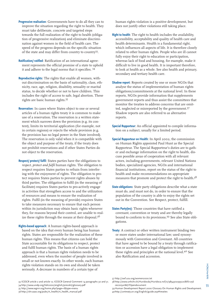- **Progressive realisation**: Governments have to do all they can to improve the situation regarding the right to health. They must take deliberate, concrete and targeted steps towards the full realization of the right to health (obligation of progressive realization) and eliminate discrimination against women in the field of health care. The speed of the progress depends on the specific situation of the state and may differ from country to country33.
- **Ratification/ ratified**: Ratification of an international agreement represents the official promise of a state to uphold it and adhere to the legal norms that it specifies. <sup>34</sup>
- **Reproductive rights**: The rights that enable all women, without discrimination on the basis of nationality, class, ethnicity, race, age, religion, disability, sexuality or marital status, to decide whether or not to have children. This includes the right of access to safe, legal abortion. These rights are basic human rights.<sup>35</sup>
- **Reservation**: In cases where States object to one or several articles of a human rights treaty it is common to make use of a reservation. The reservation is a written statement which narrows down the provision (e.g. its content), limits its territorial application (for example, not in certain regions) or rejects the whole provision (e.g. the provision has no legal power in the State involved). The reservation is only valid when it is compatible with the object and purpose of the treaty, if the treaty does not prohibit reservations and if other States Parties do not object to the reservation.
- **Respect/ protect/ fulfil**: States parties have the obligations to *respect, protect and fulfil* human rights. The obligation to respect requires States parties to refrain from interfering with the enjoyment of rights. The obligation to protect requires States parties to prevent rights abuses by third parties. The obligation to fulfil (in the meaning of facilitate) requires States parties to pro-actively engage in activities that strengthen access to and the utilization of resources and means to ensure the realization of rights. Fulfil (in the meaning of provide) requires States to take measures necessary to ensure that each person within its jurisdiction may obtain basic rights whenever they, for reasons beyond their control, are unable to realize these rights through the means at their disposal.<sup>36</sup>
- **Rights-based approach**: A human rights-based approach is based on the idea that every human being has human rights. States are responsible for the realization of these human rights. This means that citizens can hold the State accountable for its obligations to respect, protect and fulfil human rights. The basis of a human rights approach is that a human rights violation needs to be addressed, even when the number of people involved is small or not known exactly. In other words, each human rights violation stands on its own and should be taken seriously. A decrease in numbers of a certain type of

human rights violation is a positive development, but does not justify other violations still taking place.

- **Right to health**: The right to health includes the availability, accessibility, acceptability and quality of health care and health determinants. Health is a fundamental right, which influences all aspects of life. It is therefore closely related to other human rights. People who are ill cannot fully enjoy their right to education or participation, whereas lack of food and housing, for example, make it difficult to live in good health. It is important therefore, to look at health as a whole. See also health and primary, secondary and tertiary health care.
- **Shadow report**: Reports created by one or more NGOs that analyse the status of implementation of human rights obligations/commitments at the national level. In these reports, NGOs provide information that supplements government reports and thus assist the committees that monitor the treaties to address concerns that are omitted, neglected or misreported by the government.37 Shadow reports are also referred to as alternative reports.
- **Special Rapporteur**: An official appointed to compile information on a subject, usually for a limited period.
- **Special Rapporteur on Health**: In April 2002, the commission on Human Rights appointed Paul Hunt as the Special Rapporteur. The Special Rapporteur's duties are to gather and exchange information on the right to health, discuss possible areas of cooperation with all relevant actors, including governments, relevant United Nations bodies, specialized agencies, NGOs and international financial institutions, report on the status of the right to health and make recommendations on appropriate measures that promote and protect the right to health.<sup>38</sup>
- **State obligations**: State party obligations describe what a state must do, and must not do, in order to ensure that the population of the country is able to enjoy the rights set out in the Convention. See Respect, protect, fulfill.
- **States Party(ies)**: Those countries that have ratified a covenant, convention or treaty and are thereby legally bound to conform to its provisions.39 See also State obligations.
- **Treaty**: A contract or other written instrument binding two or more states under international law; used synonymously with Convention and Covenant. All countries that have agreed to be bound by a treaty through ratification or accession have a legal obligation to implement these rights and principles at the national level.<sup>40</sup> See also Ratification and accession.

34 http://www.undp.org/hdr2000/english/presskit/glossary.pdf

35 http://www.wgnrr.org/home.php?page=1&type=menu

36 http://shr.aaas.org/pubs/rt\_health/rt\_health\_manual.pdf

37 http://swf.u2u.org/women2000.txt

39 Human Development Report 2000 Glossary On Human Rights and Development. 40http://untreaty.un.org/English/guide.asp#treaties

**HOM/HerWAI** HOM/HerWAI 55

<sup>33</sup> ICESCR article 2 and article 12; ICESCR General Comment 14 paragraphs 30 and 31.

<sup>38</sup> http://www.unhchr.ch/Huridocda/Huridoca.nsf/0/9854302995c2c86fc1256 cec005a18d7?Opendocument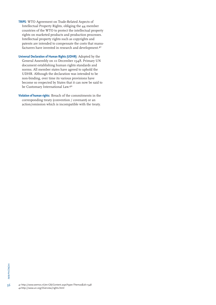- **TRIPS**: WTO Agreement on Trade-Related Aspects of Intellectual Property Rights, obliging the 44 member countries of the WTO to protect the intellectual property rights on marketed products and production processes. Intellectual property rights such as copyrights and patents are intended to compensate the costs that manufacturers have invested in research and development.41
- **Universal Declaration of Human Rights (UDHR)**: Adopted by the General Assembly on 10 December 1948. Primary UN document establishing human rights standards and norms. All member states have agreed to uphold the UDHR. Although the declaration was intended to be non-binding, over time its various provisions have become so respected by States that it can now be said to be Customary International Law.<sup>42</sup>
- **Violation of human rights**: Breach of the commitments in the corresponding treaty (convention / covenant) or an action/omission which is incompatible with the treaty.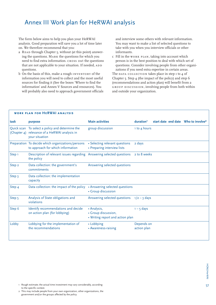# Annex III Work plan for HeRWAI analysis

The form below aims to help you plan your HeRWAI analysis. Good preparation will save you a lot of time later on. We therefore recommend that you:

- a READ through Chapter 5, without (at this point) answering the questions. Mark the questions for which you need to find extra information. cross out the questions that are not applicable to your situation. If needed, ADD questions.
- b On the basis of this, make a rough inventory of the information you will need to collect and the most useful sources for finding it (See the boxes 'Where to find the information' and Annex V Sources and resources). You will probably also need to approach government officials

and interview some others with relevant information. You may want to make a list of selected questions to take with you when you interview officials or other informants.

c Fill in the work plan, taking into account which person is in the best position to deal with which set of questions. Consider involving people from other organizations if you need extra expertise in certain areas.

The DATA COLLECTION takes place in step  $I$  to  $4$  of Chapter 5. Step 4 (the impact of the policy) and step 6 (recommendations and action plan) will benefit from a group discussion, involving people from both within and outside your organization.

|                   | <b>WORK PLAN FOR HERWAI ANALYSIS</b>                                                                               |                                                                        |                           |                                                 |  |
|-------------------|--------------------------------------------------------------------------------------------------------------------|------------------------------------------------------------------------|---------------------------|-------------------------------------------------|--|
| task              | purpose                                                                                                            | <b>Main activities</b>                                                 | duration <sup>1</sup>     | start date end date Who to involve <sup>2</sup> |  |
|                   | Quick scan To select a policy and determine the<br>(Chapter 4) relevance of a HeRWAI analysis in<br>your situation | group discussion                                                       | 1 to 4 hours              |                                                 |  |
|                   | Preparation To decide which organizations/persons<br>to approach for which information                             | • Selecting relevant questions<br>• Preparing interview lists          | 2 days                    |                                                 |  |
| Step <sub>1</sub> | Description of relevant issues regarding<br>the policy                                                             | Answering selected questions                                           | 2 to 8 weeks              |                                                 |  |
| Step 2            | Data collection: the government's<br>commitments                                                                   | Answering selected questions                                           |                           |                                                 |  |
| Step 3            | Data collection: the implementation<br>capacity                                                                    |                                                                        |                           |                                                 |  |
| Step 4            | Data collection: the impact of the policy                                                                          | • Answering selected questions<br>• Group discussion                   |                           |                                                 |  |
| Step 5            | Analysis of State obligations and<br>violations                                                                    | Answering selected questions                                           | $1/2 - 3$ days            |                                                 |  |
| Step 6            | Identify recommendations and decide<br>on action plan (for lobbying)                                               | • Analysis,<br>• Group discussion,<br>• Writing report and action plan | $1 - 5$ days              |                                                 |  |
| Lobby             | Lobbying for the implementation of<br>the recommendations                                                          | • Lobbying<br>• Awareness-raising                                      | Depends on<br>action plan |                                                 |  |

- 1 Rough estimate; the actual time investment may vary considerably, according to the specific context.
- 2 This may include people from your own organization, other organizations, the government and/or the groups affected by the policy.

57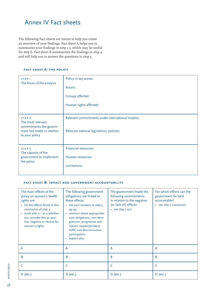# Annex IV Fact sheets

The following Fact sheets are meant to help you create an overview of your findings. Fact sheet A helps you to summarize your findings in step 1-3, which may be useful for step 6. Fact sheet B summarizes the findings in step 4 and will help you to answer the questions in step 5.

#### **fact sheet A: the policy**

| STEP <sub>1</sub><br>The focus of the analysis                                                                   | Policy in key words:<br>Actors:<br>Groups affected:<br>Human rights affected:                  |
|------------------------------------------------------------------------------------------------------------------|------------------------------------------------------------------------------------------------|
| STEP <sub>2</sub><br>The most relevant<br>commitments the govern-<br>ment has made in relation<br>to your policy | Relevant commitments under international treaties:<br>Relevant national legislation/ policies: |
| STEP <sub>3</sub><br>The capacity of the<br>government to implement<br>the policy                                | Financial resources:<br>Human resources:<br>Limitations:                                       |

#### **fact sheet B: impact and government accountability**

| The main effects of the<br>policy on women's health<br>rights are:<br>· list the effects found in the<br>conclusion of step 4<br>• mark with $+$ , $-$ or $\circ$ whether<br>you consider this as posi-<br>tive, negative or neutral for<br>women's rights | The following government<br>obligations are linked to<br>these effects:<br>• see your answers to step 5,<br>$94 - 99.$<br>• mention where appropriate:<br>core obligations, non-retro-<br>gression, progressive real-<br>ization, respect/protect/<br>fulfill, non-discrimination,<br>participation<br>• explain why | The government made the<br>following commitments<br>in relation to the negative<br>(or lack of) effects:<br>$\cdot$ see step $5$ q10 | For which effects can the<br>government be held<br>accountable?<br>• see step 5 Conclusion |
|------------------------------------------------------------------------------------------------------------------------------------------------------------------------------------------------------------------------------------------------------------|----------------------------------------------------------------------------------------------------------------------------------------------------------------------------------------------------------------------------------------------------------------------------------------------------------------------|--------------------------------------------------------------------------------------------------------------------------------------|--------------------------------------------------------------------------------------------|
| A                                                                                                                                                                                                                                                          | A                                                                                                                                                                                                                                                                                                                    | A                                                                                                                                    | A                                                                                          |
| B                                                                                                                                                                                                                                                          | B                                                                                                                                                                                                                                                                                                                    | B                                                                                                                                    | B                                                                                          |
| C                                                                                                                                                                                                                                                          |                                                                                                                                                                                                                                                                                                                      | C                                                                                                                                    | C                                                                                          |
| $D$ (etc.)                                                                                                                                                                                                                                                 | $D$ (etc.)                                                                                                                                                                                                                                                                                                           | $D$ (etc.)                                                                                                                           | $D$ (etc.)                                                                                 |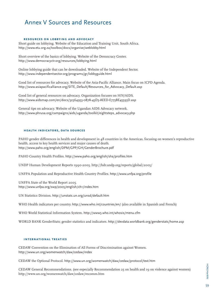# Annex V Sources and Resources

#### **resources on lobbying and advocacy**

Short guide on lobbying. Website of the Education and Training Unit, South Africa. http://www.etu.org.za/toolbox/docs/organise/weblobby.html

Short overview of the basics of lobbying. Website of the Democracy Center. http://www.democracyctr.org/resources/lobbying.html

Online lobbying guide that can be downloaded. Website of the Independent Sector. http://www.independentsector.org/programs/gr/lobbyguide.html

Good list of resources for advocacy. Website of the Asia-Pacific Alliance. Main focus on ICPD Agenda. http://www.asiapacificalliance.org/SITE\_Default/Resources\_for\_Advocacy\_Default.asp

Good list of general resources on advocacy. Organization focuses on HIV/AIDS. http://www.aidsmap.com/en/docs/32364953-087A-45D3-AEED-E773BE45593D.asp

General tips on advocacy. Website of the Ugandan AIDS Advocacy network. http://www.phrusa.org/campaigns/aids/uganda/toolkit/eightsteps\_advocacy.php

### **health indicators, data sources**

PAHO gender differences in health and development in 48 countries in the Americas, focusing on women's reproductive health, access to key health services and major causes of death. http://www.paho.org/english/DPM/GPP/GH/GenderBrochure.pdf

PAHO Country Health Profiles. http://www.paho.org/english/sha/profiles.htm

UNDP Human Development Reports 1990-2005. http://hdr.undp.org/reports/global/2005/

UNFPA Population and Reproductive Health Country Profiles. http://www.unfpa.org/profile

UNFPA State of the World Report 2005. http://www.unfpa.org/swp/2005/english/ch1/index.htm

UN Statistics Division. http://unstats.un.org/unsd/default.htm

WHO Health indicators per country. http://www.who.int/countries/en/ (also available in Spanish and French)

WHO World Statistical Information System. http://www3.who.int/whosis/menu.cfm

WORLD BANK GenderStats; gender statistics and indicators. http://devdata.worldbank.org/genderstats/home.asp

### **international treaties**

CEDAW Convention on the Elimination of All Forms of Discrimination against Women. http://www.un.org/womenwatch/daw/cedaw/index

CEDAW the Optional Protocol. http://www.un.org/womenwatch/daw/cedaw/protocol/text.htm

CEDAW General Recommendations. (see especially Recommendation 25 on health and 19 on violence against women) http://www.un.org/womenwatch/daw/cedaw/recomm.htm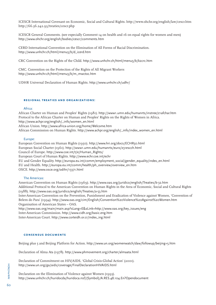ICESCR International Covenant on Economic, Social and Cultural Rights. http://www.ohchr.org/english/law/cescr.htm http://66.36.242.93/treaties/cescr.php

ICESCR General Comments. (see especially Comment 14 on health and 16 on equal rights for women and men) http://www.ohchr.org/english/bodies/cescr/comments.htm

CERD International Convention on the Elimination of All Forms of Racial Discrimination. http://www.unhchr.ch/html/menu3/b/d\_icerd.htm

CRC Convention on the Rights of the Child. http://www.unhchr.ch/html/menu3/b/k2crc.htm

CMC. Convention on the Protection of the Rights of All Migrant Workers http://www.unhchr.ch/html/menu3/b/m\_mwctoc.htm

UDHR Universal Declaration of Human Rights. http://www.unhchr.ch/udhr/

#### **regional treaties and organizations:**

#### Africa:

African Charter on Human and Peoples' Rights (1981). http://www1.umn.edu/humanrts/instree/z1afchar.htm Protocol to the African Charter on Human and Peoples' Rights on the Rights of Women in Africa. http://www.achpr.org/english/\_info/women\_en.html African Union. http://www.africa-union.org/home/Welcome.htm African Commission on Human Rights. http://www.achpr.org/english/\_info/index\_women\_en.html

#### Europe:

European Convention on Human Rights (1950). http://www.hri.org/docs/ECHR50.html European Social Charter (1961). http://www1.umn.edu/humanrts/euro/z31escch.html Council of Europe. http://www.coe.int/t/e/Human\_Rights/ European Court of Human Rights. http://www.echr.coe.int/echr EU and Gender Equality. http://europa.eu.int/comm/employment\_social/gender\_equality/index\_en.html EU and Health. http://europa.eu.int/comm/health/ph\_overview/overview\_en.htm OSCE. http://www.osce.org/odihr/13371.html

#### The Americas:

American Convention on Human Rights (1969). http://www.oas.org/juridico/english/Treaties/b-32.htm Additional Protocol to the American Convention on Human Rights in the Area of Economic, Social and Cultural Rights (1988). http://www.oas.org/juridico/english/Treaties/a-53.htm Inter-American Convention on the Prevention, Punishment and Eradication of Violence against Women, 'Convention of Belem do Para' (1994). http://www.oas.org/cim/English/Convention%20Violence%20Against%20Women.htm Organisation of American States – OAS.

http://www.oas.org/main/main.asp?sLang=E&sLink=http://www.oas.org/key\_issues/eng Inter-American Commission. http://www.cidh.org/basic.eng.htm Inter-American Court. http://www.corteidh.or.cr/index\_ing.html

### **consensus documents**

Beijing plus 5 and Beijing Platform for Action. http://www.un.org/womenwatch/daw/followup/beijing+5.htm

Declaration of Alma Ata (1978). http://www.phmovement.org/charter/almaata.html

Declaration of Commitment on HIV/AIDS, 'Global Crisis-Global Action' (2001). http://www.un.org/ga/aids/coverage/FinalDeclarationHIVAIDS.html

Declaration on the Elimination of Violence against Women (1993). http://www.unhchr.ch/huridocda/huridoca.nsf/(Symbol)/A.RES.48.104.En?Opendocument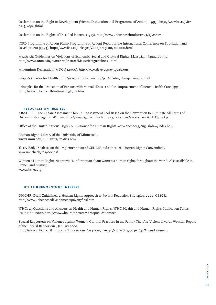Declaration on the Right to Development (Vienna Declaration and Programme of Action) (1993). http://www.hri.ca/vienna+5/vdpa.shtml

Declaration on the Rights of Disabled Persons (1975). http://www.unhchr.ch/html/menu3/b/72.htm

ICPD Programme of Action (Cairo Programme of Action) Report of the International Conference on Population and Development (1994). http://www.iisd.ca/linkages/Cairo/program/p00000.html

Maastricht Guidelines on Violations of Economic, Social and Cultural Rights, Maastricht, January 1997. http://www1.umn.edu/humanrts/instree/Maastrichtguidelines\_.html

Millennium Declaration (MDGs) (2000). http://www.developmentgoals.org

People's Charter for Health. http://www.phmovement.org/pdf/charter/phm-pch-english.pdf

Principles for the Protection of Persons with Mental Illness and the Improvement of Mental Health Care (1991). http://www.unhchr.ch/html/menu3/b/68.htm

### **resources on treaties**

ABA-CEELI. The Cedaw Assessment Tool: An Assessment Tool Based on the Convention to Eliminate All Forms of Discrimination against Women. http://www.rightsconsortium.org/resources/assessment/CEDAWtool.pdf

Office of the United Nations High Commisioner for Human Rights. www.ohchr.org/english/law/index.htm

Human Rights Library of the University of Minnesota. www1.umn.edu/humanrts/treaties.htm

Treaty Body Database on the Implementation of CEDAW and Other UN Human Rights Conventions. www.unhchr.ch/tbs/doc.nsf

Women's Human Rights Net provides information about women's human rights throughout the world. Also available in French and Spanish. www.whrnet.org

#### **other documents of interest**

OHCHR, Draft Guidelines: a Human Rights Approach to Poverty Reduction Strategies, 2002, CESCR. http://www.unhchr.ch/development/povertyfinal.html

WHO: 25 Questions and Answers on Health and Human Rights, WHO Health and Human Rights Publication Series, Issue No.1, 2002. http://www.who.int/hhr/activities/publications/en

Special Rapporteur on Violence against Women: Cultural Practices in the Family That Are Violent towards Women, Report of the Special Rapporteur , January 2002. http://www.unhchr.ch/Huridocda/Huridoca.nsf/0/42e7191fae543562c1256ba7004e963c?Opendocument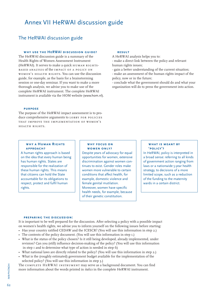# Annex VII HeRWAI discussion guide

# The HeRWAI discussion guide

#### WHY USE THE HERWAI DISCUSSION GUIDE?

The HeRWAI discussion guide is a summary of the Health Rights of Women Assessment Instrument (HeRWAI). It serves to make a quick HUMAN RIGHTSbased analysis of the impact of a policy on women's health rights. You can use the discussion guide, for example, as the basis for a brainstorming session or one-day seminar. If you want to make a more thorough analysis, we advise you to make use of the complete HeRWAI instrument. The complete HeRWAI instrument is available via the HOM website (www.hom.nl).

#### **purpose**

The purpose of the HeRWAI impact assessment is to produce comprehensive arguments to LOBBY FOR POLICIES that improve the implementation of women's health rights.

#### **result**

A HeRWAI analysis helps you to: - make a direct link between the policy and relevant human rights issues;

- gain a better understanding of the current situation;
- make an assessment of the human rights impact of the policy, now or in the future;

- conclude what the government should do and what your organization will do to press the government into action.

#### **why a Human Rights approach?**

A human rights approach is based on the idea that every human being has human rights. States are responsible for the realization of these human rights. This means that citizens can hold the State accountable for its obligations to respect, protect and fulfil human rights.

#### **why focus on women only?**

Despite years of advocacy for equal opportunities for women, extensive discrimination against women continues to exist. Gender roles make women more vulnerable to certain conditions that affect health, for example, domestic violence and female genital mutilation. Moreover, women have specific health needs, for example, because of their genetic constitution.

#### **what is meant by 'policy'?**

In HeRWAI, policy is interpreted in a broad sense: referring to all kinds of government action ranging from laws or a nationwide 5-year health strategy, to decisions of a more limited scope, such as a reduction of the funding to the maternity wards in a certain district.

#### **preparing the discussion:**

It is important to be well prepared for the discussion. After selecting a policy with a possible impact on women's health rights, we advise you to inform yourself on the following issues before starting:

- Has your country ratified CEDAW and the ICESCR? (You will use this information in step 2.)
- The contents of the policy document. (You will use this information in step 1.)
- What is the status of the policy chosen? Is it still being developed, already implemented, under revision? Can you (still) influence decision-making of the policy? (You will use this information in step  $\overline{1}$  and to determine what type of action is needed in step 6)
- What national laws are directly related to the policy? (You will use this information in step 2.)
- What is the (roughly estimated) government budget available for the implementation of the selected policy? (You will use this information in step 3.)

The complete HeRWAI instrument may serve as a background document. You can find more information about the words printed in *italics* in the complete HeRWAI instrument.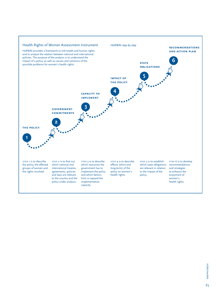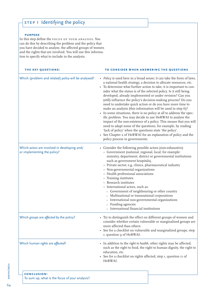# STEP 1 Identifying the policy

### **purpose**

In this step define the focus of your analysis. You can do this by describing the problem and the policy that you have decided to analyse, the affected groups of women and the rights that are involved. You will use this information to specify what to include in the analysis.

| THE KEY QUESTIONS:                                                          | TO CONSIDER WHEN ANSWERING THE QUESTIONS                                                                                                                                                                                                                                                                                                                                                                                                                                                                                                                                                                                                                                                                                                                                                                                                                                                                                                                                                      |
|-----------------------------------------------------------------------------|-----------------------------------------------------------------------------------------------------------------------------------------------------------------------------------------------------------------------------------------------------------------------------------------------------------------------------------------------------------------------------------------------------------------------------------------------------------------------------------------------------------------------------------------------------------------------------------------------------------------------------------------------------------------------------------------------------------------------------------------------------------------------------------------------------------------------------------------------------------------------------------------------------------------------------------------------------------------------------------------------|
| Which (problem and related) policy will be analysed?                        | • Policy is used here in a broad sense; it can take the form of laws,<br>a national health strategy, a decision to allocate resources, etc.<br>• To determine what further action to take, it is important to con-<br>sider what the status is of the selected policy. Is it still being<br>developed, already implemented or under revision? Can you<br>(still) influence the policy's decision-making process? Do you<br>need to undertake quick action or do you have more time to<br>make an analysis (this information will be used in step 6)?<br>• In some situations, there is no policy at all to address the spec-<br>ific problem. You may decide to use HeRWAI to analyse the<br>impact of the non-existence of a policy. This means that you will<br>need to adapt some of the questions, for example, by reading<br>'lack of policy' when the questions state 'the policy'.<br>• See Chapter 2 of HeRWAI for an explanation of policy and the<br>policy process in governments. |
| Which actors are involved in developing and/<br>or implementing the policy? | • Consider the following possible actors (non-exhaustive)<br>- Government (national, regional, local; for example:<br>ministry, department, district or governmental institutions<br>such as government hospitals),<br>- Private sector; e.g. clinics, pharmaceutical industry<br>- Non-governmental organizations<br>- Health professional associations<br>- Training institutes<br>- Research institutes<br>- International actors, such as:<br>• Government of neighbouring or other country<br>• Multinational or transnational corporations<br>· International non-governmental organizations<br>• Funding agencies<br>• International financial institutions                                                                                                                                                                                                                                                                                                                            |
| Which groups are affected by the policy?                                    | • Try to distinguish the effect on different groups of women and<br>consider whether certain vulnerable or marginalized groups are<br>more affected than others.<br>See for a checklist on vulnerable and marginalized groups, step<br>I, question 9 of HeRWAI.                                                                                                                                                                                                                                                                                                                                                                                                                                                                                                                                                                                                                                                                                                                               |
| Which human rights are affected?                                            | • In addition to the right to health, other rights may be affected,<br>such as the right to food, the right to human dignity, the right to<br>education, etc.<br>• See for a checklist on rights affected, step I, question II of<br>HeRWAI.                                                                                                                                                                                                                                                                                                                                                                                                                                                                                                                                                                                                                                                                                                                                                  |
| <b>CONCLUSION:</b><br>To sum up, what is the focus of your analysis?        |                                                                                                                                                                                                                                                                                                                                                                                                                                                                                                                                                                                                                                                                                                                                                                                                                                                                                                                                                                                               |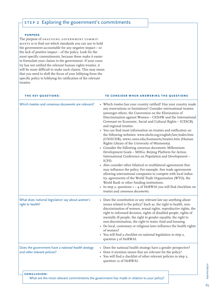# STEP 2 Exploring the government's commitments

#### **purpose**

The purpose of ANALYSING GOVERNMENT COMMITments is to find out which standards you can use to hold the government accountable for any negative impact – or the lack of positive impact – of the policy. Look for the most specific commitments, because these make it easier to formulate your claims to the government. If your country has not ratified the relevant human rights treaties, it will be more difficult to make such claims. This may mean that you need to shift the focus of your lobbying from the specific policy to lobbying for ratification of the relevant treaties.

### **the key questions:**

#### **to consider when answering the questions**

| Which treaties and consensus documents are relevant?                                | • Which treaties has your country ratified? Has your country made<br>any reservations or limitations? Consider international treaties<br>(amongst others, the Convention on the Elimination of<br>Discrimination against Women - CEDAW and the International<br>Covenant on Economic, Social and Cultural Rights - ICESCR)<br>and regional treaties.<br>You can find most information on treaties and ratification on<br>the following websites: www.ohchr.org/english/law/index.htm<br>(UNHCHR), www1.umn.edu/humanrts/treaties.htm (Human<br>Rights Library of the University of Minnesota)<br>• Consider the following consensus documents: Millennium<br>Development Goals - MDGs, Beijing Platform for Action,<br>International Conference on Population and Development-<br>ICPD.<br>• Also consider other bilateral or multilateral agreements that<br>may influence the policy. For example, free trade agreements<br>allowing international companies to compete with local indus-<br>try, agreements of the World Trade Organization (WTO), the<br>World Bank or other funding institutions.<br>• In step 2, questions $I - 4$ of HeRWAI you will find checklists on<br>treaties and consensus documents. |
|-------------------------------------------------------------------------------------|---------------------------------------------------------------------------------------------------------------------------------------------------------------------------------------------------------------------------------------------------------------------------------------------------------------------------------------------------------------------------------------------------------------------------------------------------------------------------------------------------------------------------------------------------------------------------------------------------------------------------------------------------------------------------------------------------------------------------------------------------------------------------------------------------------------------------------------------------------------------------------------------------------------------------------------------------------------------------------------------------------------------------------------------------------------------------------------------------------------------------------------------------------------------------------------------------------------------|
| What does national legislation say about women's<br>right to health?                | • Does the constitution or any relevant law say anything about<br>issues related to the policy? Such as, the right to health, non-<br>discrimination of women, sexual rights, reproductive rights, the<br>right to informed decision, rights of disabled people, rights of<br>mentally ill people, the right to gender equality, the right to<br>non-discrimination, the right to water, food and housing.<br>• Do local, customary or religious laws influence the health rights<br>of women?<br>• You will find a checklist on national legislation in step 2,<br>question 5 of HeRWAI.                                                                                                                                                                                                                                                                                                                                                                                                                                                                                                                                                                                                                           |
| Does the government have a national health strategy<br>and other relevant policies? | • Does the national health strategy have a gender perspective?<br>• Does it mention issues that are relevant for the policy?<br>• You will find a checklist of other relevant policies in step 2,<br>question 12 of HeRWAI.                                                                                                                                                                                                                                                                                                                                                                                                                                                                                                                                                                                                                                                                                                                                                                                                                                                                                                                                                                                         |
| <b>CONCLUSION:</b>                                                                  | What are the most relevant commitments the government has made in relation to your policy?                                                                                                                                                                                                                                                                                                                                                                                                                                                                                                                                                                                                                                                                                                                                                                                                                                                                                                                                                                                                                                                                                                                          |

HOM/HerWAI HOM/HerWAI 65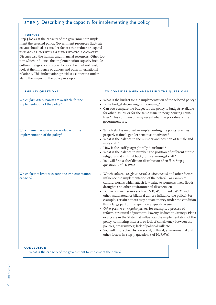# STEP 3 Describing the capacity for implementing the policy

#### **purpose**

Step 3 looks at the capacity of the government to implement the selected policy. Government resources fluctuate, so you should also consider factors that reduce or expand the government's implementation capacity. Discuss also the human and financial resources. Other factors which influence the implementation capacity include cultural, religious and social factors. Last but not least, look at the influence of donors and other international relations. This information provides a context to understand the impact of the policy in step 4.

| THE KEY QUESTIONS:                                                               | TO CONSIDER WHEN ANSWERING THE QUESTIONS                                                                                                                                                                                                                                                                                                                                                                                                                                                                                                                                                                                                                                                                                                                                                                                                                                                                                                                                      |
|----------------------------------------------------------------------------------|-------------------------------------------------------------------------------------------------------------------------------------------------------------------------------------------------------------------------------------------------------------------------------------------------------------------------------------------------------------------------------------------------------------------------------------------------------------------------------------------------------------------------------------------------------------------------------------------------------------------------------------------------------------------------------------------------------------------------------------------------------------------------------------------------------------------------------------------------------------------------------------------------------------------------------------------------------------------------------|
| Which financial resources are available for the<br>implementation of the policy? | • What is the budget for the implementation of the selected policy?<br>• Is the budget decreasing or increasing?<br>• Can you compare the budget for the policy to budgets available<br>for other issues, or for the same issue in neighbouring coun-<br>tries? This comparison may reveal what the priorities of the<br>government are.                                                                                                                                                                                                                                                                                                                                                                                                                                                                                                                                                                                                                                      |
| Which human resources are available for the<br>implementation of the policy?     | • Which staff is involved in implementing the policy; are they<br>properly trained, gender-sensitive, motivated?<br>• What is the balance in the number and position of female and<br>male staff?<br>• How is the staff geographically distributed?<br>• What is the balance in number and position of different ethnic,<br>religious and cultural backgrounds amongst staff?<br>• You will find a checklist on distribution of staff in Step 3,<br>question 6 of HeRWAI.                                                                                                                                                                                                                                                                                                                                                                                                                                                                                                     |
| Which factors limit or expand the implementation<br>capacity?                    | • Which cultural, religious, social, environmental and other factors<br>influence the implementation of the policy? For example:<br>cultural norms which attach low value to women's lives; floods,<br>droughts and other environmental disasters; etc.<br>• Do international actors such as IMF, World Bank, WTO and<br>other multilateral or bilateral donors influence the policy? For<br>example, certain donors may donate money under the condition<br>that a large part of it is spent on a specific issue.<br>• Other positive or negative factors: for example, a process of<br>reform, structural adjustment, Poverty Reduction Strategy Plans<br>or a crisis in the State that influences the implementation of the<br>policy; conflicting interests or lack of consistency between the<br>policies/programmes; lack of political will; etc.<br>You will find a checklist on social, cultural, environmental and<br>other factors in step 3, question 8 of HeRWAI. |
| CONCLUSION:<br>What is the capacity of the government to implement the policy?   |                                                                                                                                                                                                                                                                                                                                                                                                                                                                                                                                                                                                                                                                                                                                                                                                                                                                                                                                                                               |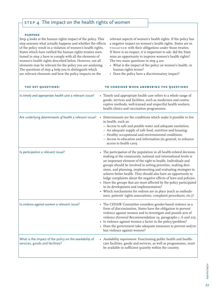# STEP 4 The impact on the health rights of women

#### **purpose**

Step 4 looks at the human rights impact of the policy. This step assesses what actually happens and whether the effects of the policy result in a violation of women's health rights. States which have ratified the human rights treaties mentioned in step 2 have to comply with all the elements of women's health rights described below. However, not all elements may be relevant for the policy you are analysing. The questions of step 4 help you to distinguish which are relevant elements and how the policy impacts on the

relevant aspects of women's health rights. If the policy has a negative impact on women's health rights, States are in violation with their obligations under those treaties. If there is no impact, it is important to ask: did the State miss an opportunity to improve women's health rights? The two main questions in step 4 are:

- What is the impact of the policy on women's health, in human rights terms?
- Does the policy have a discriminatory impact?

| THE KEY QUESTIONS:                                                                         | TO CONSIDER WHEN ANSWERING THE QUESTIONS                                                                                                                                                                                                                                                                                                                                                                                                                                                                                                                                                                                                                                                                                            |
|--------------------------------------------------------------------------------------------|-------------------------------------------------------------------------------------------------------------------------------------------------------------------------------------------------------------------------------------------------------------------------------------------------------------------------------------------------------------------------------------------------------------------------------------------------------------------------------------------------------------------------------------------------------------------------------------------------------------------------------------------------------------------------------------------------------------------------------------|
| Is timely and appropriate health care a relevant issue?                                    | • Timely and appropriate health care refers to a whole range of<br>goods, services and facilities, such as medicines and contra-<br>ceptive methods, well-trained and respectful health workers,<br>health clinics and vaccination programmes.                                                                                                                                                                                                                                                                                                                                                                                                                                                                                      |
| Are underlying determinants of health a relevant issue?                                    | • Determinants are the conditions which make it possible to live<br>in health, such as:<br>- Access to safe and potable water and adequate sanitation;<br>- An adequate supply of safe food, nutrition and housing;<br>- Healthy occupational and environmental conditions;<br>- Access to education and information (in general, to enhance<br>access to health care).                                                                                                                                                                                                                                                                                                                                                             |
| Is participation a relevant issue?                                                         | The participation of the population in all health-related decision-<br>making at the community, national and international levels is<br>an important element of the right to health. Individuals and<br>groups should be involved in setting priorities, making deci-<br>sions, and planning, implementing and evaluating strategies to<br>achieve better health. They should also have an opportunity to<br>lodge complaints about the negative effects of laws and policies.<br>• Have the groups that are most affected by the policy participated<br>in its development and implementation?<br>• Which mechanisms for redress are in place (such as ombuds-<br>men, patients' rights associations, complaint procedures, etc.)? |
| Is violence against women a relevant issue?                                                | • The CEDAW Committee considers gender-based violence as a<br>form of discrimination. States have the obligation to prevent<br>violence against women and to investigate and punish acts of<br>violence (General Recommendation 19, paragraphs 1, 6 and 20).<br>· Is violence against women a factor in the policy/problem?<br>• Does the government take adequate measures to prevent and/or<br>ban violence against women?                                                                                                                                                                                                                                                                                                        |
| What is the impact of the policy on the availability of<br>services, goods and facilities? | • Availability requirement: Functioning public health and health-<br>care facilities, goods and services, as well as programmes, must<br>be available in sufficient quantity within the country.                                                                                                                                                                                                                                                                                                                                                                                                                                                                                                                                    |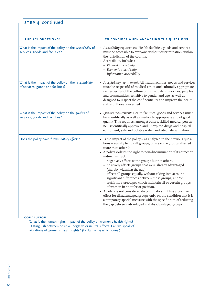| STEP 4 continued |
|------------------|
|                  |

| THE KEY QUESTIONS:                                                                          | TO CONSIDER WHEN ANSWERING THE QUESTIONS                                                                                                                                                                                                                                                                                                                                                                                                                                                                                                                                                                                                                                                                                                                                                                                                                                                         |
|---------------------------------------------------------------------------------------------|--------------------------------------------------------------------------------------------------------------------------------------------------------------------------------------------------------------------------------------------------------------------------------------------------------------------------------------------------------------------------------------------------------------------------------------------------------------------------------------------------------------------------------------------------------------------------------------------------------------------------------------------------------------------------------------------------------------------------------------------------------------------------------------------------------------------------------------------------------------------------------------------------|
| What is the impact of the policy on the accessibility of<br>services, goods and facilities? | • Accessibility requirement: Health facilities, goods and services<br>must be accessible to everyone without discrimination, within<br>the jurisdiction of the country.<br>• Accessibility includes:<br>- Physical accessibility<br>- Economic accessibility<br>$-$ Information accessibility                                                                                                                                                                                                                                                                                                                                                                                                                                                                                                                                                                                                    |
| What is the impact of the policy on the acceptability<br>of services, goods and facilities? | • Acceptability requirement: All health facilities, goods and services<br>must be respectful of medical ethics and culturally appropriate,<br>i.e. respectful of the culture of individuals, minorities, peoples<br>and communities, sensitive to gender and age, as well as<br>designed to respect the confidentiality and improve the health<br>status of those concerned.                                                                                                                                                                                                                                                                                                                                                                                                                                                                                                                     |
| What is the impact of the policy on the quality of<br>services, goods and facilities?       | • Quality requirement: Health facilities, goods and services must<br>be scientifically as well as medically appropriate and of good<br>quality. This requires, amongst others, skilled medical person-<br>nel, scientifically approved and unexpired drugs and hospital<br>equipment, safe and potable water, and adequate sanitation.                                                                                                                                                                                                                                                                                                                                                                                                                                                                                                                                                           |
| Does the policy have discriminatory effects?                                                | • Is the impact of the policy - as analysed in the previous ques-<br>tions - equally felt by all groups, or are some groups affected<br>more than others?<br>• A policy violates the right to non-discrimination if its direct or<br>indirect impact:<br>- negatively affects some groups but not others,<br>- positively affects groups that were already advantaged<br>(thereby widening the gap),<br>- affects all groups equally, without taking into account<br>significant differences between those groups, and/or<br>- reaffirms stereotypes which maintain all or certain groups<br>of women in an inferior position.<br>• A policy is not considered discriminatory if it has a positive<br>effect for disadvantaged groups only, on the condition that it is<br>a temporary special measure with the specific aim of reducing<br>the gap between advantaged and disadvantaged groups. |
| CONCLUSION:                                                                                 |                                                                                                                                                                                                                                                                                                                                                                                                                                                                                                                                                                                                                                                                                                                                                                                                                                                                                                  |

 What is the human rights impact of the policy on women's health rights? Distinguish between positive, negative or neutral effects. Can we speak of violations of women's health rights? (Explain why/ which ones.)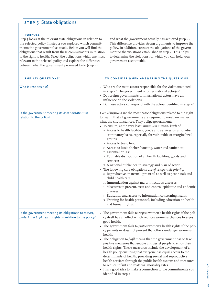# STEP 5 State obligations

#### **purpose**

Step 5 looks at the relevant state obligations in relation to the selected policy. In step 2 you explored which commitments the government has made. Below you will find the obligations that result from these commitments in relation to the right to health. Select the obligations which are most relevant to the selected policy and explore the difference between what the government promised to do (step 2)

and what the government actually has achieved (step 4). This difference provides strong arguments to improve the policy. In addition, connect the obligations of the government to the violations established in step 4. This helps to determine the violations for which you can hold your government accountable.

| THE KEY QUESTIONS:                                                                                                   | TO CONSIDER WHEN ANSWERING THE QUESTIONS                                                                                                                                                                                                                                                                                                                                                                                                                                                                                                                                                                                                                                                                                                                                                                                                                                                                                                                                                                                                                                                                    |
|----------------------------------------------------------------------------------------------------------------------|-------------------------------------------------------------------------------------------------------------------------------------------------------------------------------------------------------------------------------------------------------------------------------------------------------------------------------------------------------------------------------------------------------------------------------------------------------------------------------------------------------------------------------------------------------------------------------------------------------------------------------------------------------------------------------------------------------------------------------------------------------------------------------------------------------------------------------------------------------------------------------------------------------------------------------------------------------------------------------------------------------------------------------------------------------------------------------------------------------------|
| Who is responsible?                                                                                                  | • Who are the main actors responsible for the violations noted<br>in step 4? The government or other national actor(s)?<br>• Do foreign governments or international actors have an<br>influence on the violations?<br>• Do these actors correspond with the actors identified in step 1?                                                                                                                                                                                                                                                                                                                                                                                                                                                                                                                                                                                                                                                                                                                                                                                                                   |
| Is the government meeting its core obligations in<br>relation to the policy?                                         | Core obligations are the most basic obligations related to the right<br>to health that all governments are required to meet, no matter<br>what the circumstances. They oblige governments:<br>• To ensure, at the very least, minimum essential levels of<br>A Access to health facilities, goods and services on a non-dis-<br>criminatory basis, especially for vulnerable or marginalized<br>groups;<br>B Access to basic food;<br>c Access to basic shelter, housing, water and sanitation;<br>D Essential drugs;<br>E Equitable distribution of all health facilities, goods and<br>services;<br>F A national public health strategy and plan of action.<br>• The following core obligations are of comparable priority;<br>G Reproductive, maternal (pre-natal as well as post-natal) and<br>child health care;<br>H Immunization against major infectious diseases;<br>I Measures to prevent, treat and control epidemic and endemic<br>diseases;<br>J Education and access to information concerning health;<br>K Training for health personnel, including education on health<br>and human rights. |
| Is the government meeting its obligations to respect,<br>protect and fulfil health rights in relation to the policy? | • The government fails to respect women's health rights if the poli-<br>cy itself has an effect which reduces women's chances to enjoy<br>good health.<br>• The government fails to protect women's health rights if the poli-<br>cy permits or does not prevent that others endanger women's<br>health.<br>The obligation to fulfil means that the government has to take<br>positive measures that enable and assist people to enjoy their<br>health rights. These measures include the development of a<br>health policy ensuring that everyone has equal access to the<br>determinants of health, providing sexual and reproductive<br>health services through the public health system and measures<br>to reduce infant and maternal mortality rates.<br>• It is a good idea to make a connection to the commitments you<br>identified in step 2.                                                                                                                                                                                                                                                      |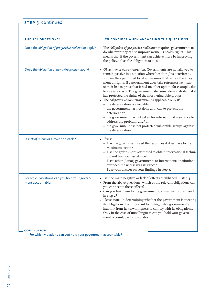STEP 5 continued

| THE KEY QUESTIONS:                                                                   | TO CONSIDER WHEN ANSWERING THE QUESTIONS                                                                                                                                                                                                                                                                                                                                                                                                                                                                                                                                                                                                                                                                                                                                                                                                          |
|--------------------------------------------------------------------------------------|---------------------------------------------------------------------------------------------------------------------------------------------------------------------------------------------------------------------------------------------------------------------------------------------------------------------------------------------------------------------------------------------------------------------------------------------------------------------------------------------------------------------------------------------------------------------------------------------------------------------------------------------------------------------------------------------------------------------------------------------------------------------------------------------------------------------------------------------------|
| Does the obligation of progressive realization apply?                                | • The obligation of progressive realization requires governments to<br>do whatever they can to improve women's health rights. This<br>means that if the government can achieve more by improving<br>the policy, it has the obligation to do so.                                                                                                                                                                                                                                                                                                                                                                                                                                                                                                                                                                                                   |
| Does the obligation of non-retrogression apply?                                      | Obligation of non-retrogression: Governments are not allowed to<br>remain passive in a situation where health rights deteriorate.<br>Nor are they permitted to take measures that reduce the enjoy-<br>ment of rights. If a government does take retrogressive meas-<br>ures, it has to prove that it had no other option, for example, due<br>to a severe crisis. The government also must demonstrate that it<br>has protected the rights of the most vulnerable groups.<br>The obligation of non-retrogression is applicable only if:<br>- the deterioration is avoidable,<br>- the government has not done all it can to prevent the<br>deterioration,<br>- the government has not asked for international assistance to<br>address the problem, and/or<br>- the government has not protected vulnerable groups against<br>the deterioration. |
| Is lack of resources a major obstacle?                                               | $\bullet$ If yes:<br>- Has the government used the resources it does have to the<br>maximum extent?<br>- Has the government attempted to obtain international techni-<br>cal and financial assistance?<br>- Have other (donor) governments or international institutions<br>extended the necessary assistance?<br>- Base your answer on your findings in step 3.                                                                                                                                                                                                                                                                                                                                                                                                                                                                                  |
| For which violations can you hold your govern-<br>ment accountable?                  | • List the main negative or lack of effects established in step 4.<br>• From the above questions, which of the relevant obligations can<br>you connect to these effects?<br>• Can you link them to the government commitments discussed<br>in step 2?<br>Please note: In determining whether the government is meeting<br>its obligations it is important to distinguish a government's<br>inability from its unwillingness to comply with its obligations.<br>Only in the case of unwillingness can you hold your govern-<br>ment accountable for a violation.                                                                                                                                                                                                                                                                                   |
| <b>CONCLUSION:</b><br>For which violations can you hold your government accountable? |                                                                                                                                                                                                                                                                                                                                                                                                                                                                                                                                                                                                                                                                                                                                                                                                                                                   |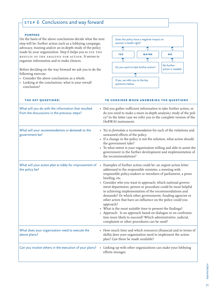# STEP 6 Conclusions and way forward

#### **purpose**

On the basis of the above conclusions decide what the next step will be: further action such as a lobbying campaign, advocacy, training and/or an in-depth study of the policy made by your organization. Step 6 helps you to USE THE results of the analysis for action. It serves to organize information and to make choices.

Before deciding on the way forward we ask you to do the following exercise:

- Consider the above conclusions as a whole.
- Looking at the conclusions, what is your overall conclusion?



| THE KEY QUESTIONS:                                                                                 | TO CONSIDER WHEN ANSWERING THE QUESTIONS                                                                                                                                                                                                                                                                                                                                                                                                                                                                                                                                                                                                                                                                                                                                           |
|----------------------------------------------------------------------------------------------------|------------------------------------------------------------------------------------------------------------------------------------------------------------------------------------------------------------------------------------------------------------------------------------------------------------------------------------------------------------------------------------------------------------------------------------------------------------------------------------------------------------------------------------------------------------------------------------------------------------------------------------------------------------------------------------------------------------------------------------------------------------------------------------|
| What will you do with the information that resulted<br>from the discussions in the previous steps? | • Did you gather sufficient information to take further action, or<br>do you need to make a more in-depth analysis/ study of the poli-<br>cy? In the latter case we refer you to the complete version of the<br>HeRWAI instrument.                                                                                                                                                                                                                                                                                                                                                                                                                                                                                                                                                 |
| What will your recommendations or demands to the<br>government be?                                 | • Try to formulate a recommendation for each of the violations and<br>unwanted effects of the policy.<br>• If a change in the policy is not the solution, what action should<br>the government take?<br>• To what extent is your organization willing and able to assist the<br>government in the further development and implementation of<br>the recommendations?                                                                                                                                                                                                                                                                                                                                                                                                                |
| What will your action plan to lobby for improvement of<br>the policy be?                           | Examples of further action could be: an urgent action letter<br>addressed to the responsible minister, a meeting with<br>responsible policy-makers or members of parliament, a press<br>briefing, etc.<br>• Consider who you want to approach: which national govern-<br>ment department, person or procedure could be most helpful<br>in achieving implementation of the recommendations and<br>demands? Or which other governments, funding agencies or<br>other actors that have an influence on the policy could you<br>approach?<br>• What is the most suitable time to present the findings?<br>• Approach: Is an approach based on dialogue or on confronta-<br>tion more likely to succeed? Which administrative, judicial,<br>complaints or other procedures can be used? |
| What does your organization need to execute the<br>above plans?                                    | • How much time and which resources (financial and in terms of<br>skills) does your organization need to implement the action<br>plan? Can these be made available?                                                                                                                                                                                                                                                                                                                                                                                                                                                                                                                                                                                                                |
| Can you involve others in the execution of your plans?                                             | • Linking up with other organizations can make your lobbying<br>efforts stronger.                                                                                                                                                                                                                                                                                                                                                                                                                                                                                                                                                                                                                                                                                                  |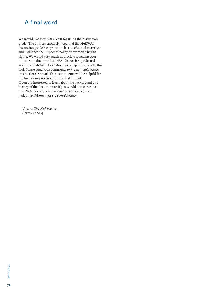## A final word

We would like to THANK YOU for using the discussion guide. The authors sincerely hope that the HeRWAI discussion guide has proven to be a useful tool to analyse and influence the impact of policy on women's health rights. We would very much appreciate receiving your feedback about the HeRWAI discussion guide and would be grateful to hear about your experiences with this tool. Please send your comments to h.plagman@hom.nl or s.bakker@hom.nl. These comments will be helpful for the further improvement of the instrument. If you are interested to learn about the background and history of the document or if you would like to receive HeRWAI in its full-length you can contact h.plagman@hom.nl or s.bakker@hom.nl.

*Utrecht, The Netherlands, November 2005*